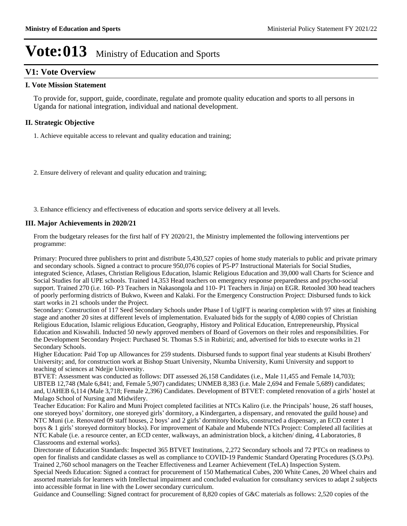## **V1: Vote Overview**

### **I. Vote Mission Statement**

To provide for, support, guide, coordinate, regulate and promote quality education and sports to all persons in Uganda for national integration, individual and national development.

### **II. Strategic Objective**

1. Achieve equitable access to relevant and quality education and training;

2. Ensure delivery of relevant and quality education and training;

3. Enhance efficiency and effectiveness of education and sports service delivery at all levels.

### **III. Major Achievements in 2020/21**

From the budgetary releases for the first half of FY 2020/21, the Ministry implemented the following interventions per programme:

Primary: Procured three publishers to print and distribute 5,430,527 copies of home study materials to public and private primary and secondary schools. Signed a contract to procure 950,076 copies of P5-P7 Instructional Materials for Social Studies, integrated Science, Atlases, Christian Religious Education, Islamic Religious Education and 39,000 wall Charts for Science and Social Studies for all UPE schools. Trained 14,353 Head teachers on emergency response preparedness and psycho-social support. Trained 270 (i.e. 160- P3 Teachers in Nakasongola and 110- P1 Teachers in Jinja) on EGR. Retooled 300 head teachers of poorly performing districts of Bukwo, Kween and Kalaki. For the Emergency Construction Project: Disbursed funds to kick start works in 21 schools under the Project.

Secondary: Construction of 117 Seed Secondary Schools under Phase I of UgIFT is nearing completion with 97 sites at finishing stage and another 20 sites at different levels of implementation. Evaluated bids for the supply of 4,080 copies of Christian Religious Education, Islamic religious Education, Geography, History and Political Education, Entrepreneurship, Physical Education and Kiswahili. Inducted 50 newly approved members of Board of Governors on their roles and responsibilities. For the Development Secondary Project: Purchased St. Thomas S.S in Rubirizi; and, advertised for bids to execute works in 21 Secondary Schools.

Higher Education: Paid Top up Allowances for 259 students. Disbursed funds to support final year students at Kisubi Brothers' University; and, for construction work at Bishop Stuart University, Nkumba University, Kumi University and support to teaching of sciences at Ndejje University.

BTVET: Assessment was conducted as follows: DIT assessed 26,158 Candidates (i.e., Male 11,455 and Female 14,703); UBTEB 12,748 (Male 6,841; and, Female 5,907) candidates; UNMEB 8,383 (i.e. Male 2,694 and Female 5,689) candidates; and, UAHEB 6,114 (Male 3,718; Female 2,396) Candidates. Development of BTVET: completed renovation of a girls' hostel at Mulago School of Nursing and Midwifery.

Teacher Education: For Kaliro and Muni Project completed facilities at NTCs Kaliro (i.e. the Principals' house, 26 staff houses, one storeyed boys' dormitory, one storeyed girls' dormitory, a Kindergarten, a dispensary, and renovated the guild house) and NTC Muni (i.e. Renovated 09 staff houses, 2 boys' and 2 girls' dormitory blocks, constructed a dispensary, an ECD center 1 boys & 1 girls' storeyed dormitory blocks). For improvement of Kabale and Mubende NTCs Project: Completed all facilities at NTC Kabale (i.e. a resource center, an ECD center, walkways, an administration block, a kitchen/ dining, 4 Laboratories, 8 Classrooms and external works).

Directorate of Education Standards: Inspected 365 BTVET Institutions, 2,272 Secondary schools and 72 PTCs on readiness to open for finalists and candidate classes as well as compliance to COVID-19 Pandemic Standard Operating Procedures (S.O.Ps). Trained 2,760 school managers on the Teacher Effectiveness and Learner Achievement (TeLA) Inspection System.

Special Needs Education: Signed a contract for procurement of 150 Mathematical Cubes, 200 White Canes, 20 Wheel chairs and assorted materials for learners with Intellectual impairment and concluded evaluation for consultancy services to adapt 2 subjects into accessible format in line with the Lower secondary curriculum.

Guidance and Counselling: Signed contract for procurement of 8,820 copies of G&C materials as follows: 2,520 copies of the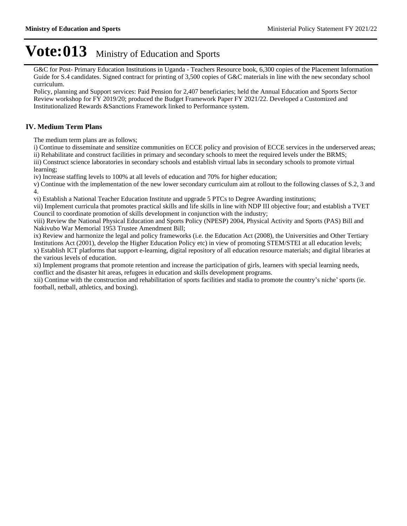G&C for Post- Primary Education Institutions in Uganda - Teachers Resource book, 6,300 copies of the Placement Information Guide for S.4 candidates. Signed contract for printing of 3,500 copies of G&C materials in line with the new secondary school curriculum.

Policy, planning and Support services: Paid Pension for 2,407 beneficiaries; held the Annual Education and Sports Sector Review workshop for FY 2019/20; produced the Budget Framework Paper FY 2021/22. Developed a Customized and Institutionalized Rewards &Sanctions Framework linked to Performance system.

### **IV. Medium Term Plans**

The medium term plans are as follows;

i) Continue to disseminate and sensitize communities on ECCE policy and provision of ECCE services in the underserved areas; ii) Rehabilitate and construct facilities in primary and secondary schools to meet the required levels under the BRMS;

iii) Construct science laboratories in secondary schools and establish virtual labs in secondary schools to promote virtual learning;

iv) Increase staffing levels to 100% at all levels of education and 70% for higher education;

v) Continue with the implementation of the new lower secondary curriculum aim at rollout to the following classes of S.2, 3 and 4.

vi) Establish a National Teacher Education Institute and upgrade 5 PTCs to Degree Awarding institutions;

vii) Implement curricula that promotes practical skills and life skills in line with NDP III objective four; and establish a TVET Council to coordinate promotion of skills development in conjunction with the industry;

viii) Review the National Physical Education and Sports Policy (NPESP) 2004, Physical Activity and Sports (PAS) Bill and Nakivubo War Memorial 1953 Trustee Amendment Bill;

ix) Review and harmonize the legal and policy frameworks (i.e. the Education Act (2008), the Universities and Other Tertiary Institutions Act (2001), develop the Higher Education Policy etc) in view of promoting STEM/STEI at all education levels; x) Establish ICT platforms that support e-learning, digital repository of all education resource materials; and digital libraries at the various levels of education.

xi) Implement programs that promote retention and increase the participation of girls, learners with special learning needs, conflict and the disaster hit areas, refugees in education and skills development programs.

xii) Continue with the construction and rehabilitation of sports facilities and stadia to promote the country's niche' sports (ie. football, netball, athletics, and boxing).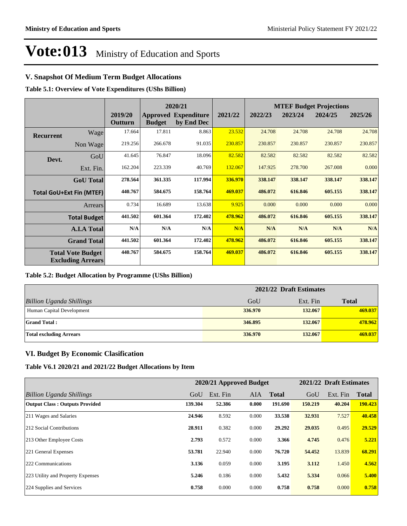### **V. Snapshot Of Medium Term Budget Allocations**

**Table 5.1: Overview of Vote Expenditures (UShs Billion)**

|                  |                                                      |                    |               | 2020/21                                   |         |         | <b>MTEF Budget Projections</b> |         |         |  |
|------------------|------------------------------------------------------|--------------------|---------------|-------------------------------------------|---------|---------|--------------------------------|---------|---------|--|
|                  |                                                      | 2019/20<br>Outturn | <b>Budget</b> | <b>Approved Expenditure</b><br>by End Dec | 2021/22 | 2022/23 | 2023/24                        | 2024/25 | 2025/26 |  |
| <b>Recurrent</b> | Wage                                                 | 17.664             | 17.811        | 8.863                                     | 23.532  | 24.708  | 24.708                         | 24.708  | 24.708  |  |
|                  | Non Wage                                             | 219.256            | 266.678       | 91.035                                    | 230.857 | 230.857 | 230.857                        | 230.857 | 230.857 |  |
| Devt.            | GoU                                                  | 41.645             | 76.847        | 18.096                                    | 82.582  | 82.582  | 82.582                         | 82.582  | 82.582  |  |
|                  | Ext. Fin.                                            | 162.204            | 223.339       | 40.769                                    | 132.067 | 147.925 | 278.700                        | 267.008 | 0.000   |  |
|                  | <b>GoU</b> Total                                     | 278.564            | 361.335       | 117.994                                   | 336.970 | 338.147 | 338.147                        | 338.147 | 338.147 |  |
|                  | <b>Total GoU+Ext Fin (MTEF)</b>                      | 440.767            | 584.675       | 158.764                                   | 469.037 | 486.072 | 616.846                        | 605.155 | 338.147 |  |
|                  | Arrears                                              | 0.734              | 16.689        | 13.638                                    | 9.925   | 0.000   | 0.000                          | 0.000   | 0.000   |  |
|                  | <b>Total Budget</b>                                  | 441.502            | 601.364       | 172.402                                   | 478.962 | 486.072 | 616.846                        | 605.155 | 338.147 |  |
|                  | <b>A.I.A Total</b>                                   | N/A                | N/A           | N/A                                       | N/A     | N/A     | N/A                            | N/A     | N/A     |  |
|                  | <b>Grand Total</b>                                   | 441.502            | 601.364       | 172.402                                   | 478.962 | 486.072 | 616.846                        | 605.155 | 338.147 |  |
|                  | <b>Total Vote Budget</b><br><b>Excluding Arrears</b> | 440.767            | 584.675       | 158.764                                   | 469.037 | 486.072 | 616.846                        | 605.155 | 338.147 |  |

#### **Table 5.2: Budget Allocation by Programme (UShs Billion)**

|                                 | 2021/22 Draft Estimates |          |              |  |  |  |  |  |
|---------------------------------|-------------------------|----------|--------------|--|--|--|--|--|
| <b>Billion Uganda Shillings</b> | GoU                     | Ext. Fin | <b>Total</b> |  |  |  |  |  |
| Human Capital Development       | 336.970                 | 132.067  | 469.037      |  |  |  |  |  |
| <b>Grand Total:</b>             | 346.895                 | 132.067  | 478.962      |  |  |  |  |  |
| <b>Total excluding Arrears</b>  | 336.970                 | 132.067  | 469.037      |  |  |  |  |  |

### **VI. Budget By Economic Clasification**

**Table V6.1 2020/21 and 2021/22 Budget Allocations by Item**

|                                       | 2020/21 Approved Budget |          |            |              |         | 2021/22 Draft Estimates |              |  |
|---------------------------------------|-------------------------|----------|------------|--------------|---------|-------------------------|--------------|--|
| Billion Uganda Shillings              | GoU                     | Ext. Fin | <b>AIA</b> | <b>Total</b> | GoU     | Ext. Fin                | <b>Total</b> |  |
| <b>Output Class: Outputs Provided</b> | 139.304                 | 52.386   | 0.000      | 191.690      | 150.219 | 40.204                  | 190.423      |  |
| 211 Wages and Salaries                | 24.946                  | 8.592    | 0.000      | 33.538       | 32.931  | 7.527                   | 40.458       |  |
| 212 Social Contributions              | 28.911                  | 0.382    | 0.000      | 29.292       | 29.035  | 0.495                   | 29.529       |  |
| 213 Other Employee Costs              | 2.793                   | 0.572    | 0.000      | 3.366        | 4.745   | 0.476                   | 5.221        |  |
| 221 General Expenses                  | 53.781                  | 22.940   | 0.000      | 76.720       | 54.452  | 13.839                  | 68.291       |  |
| 222 Communications                    | 3.136                   | 0.059    | 0.000      | 3.195        | 3.112   | 1.450                   | 4.562        |  |
| 223 Utility and Property Expenses     | 5.246                   | 0.186    | 0.000      | 5.432        | 5.334   | 0.066                   | 5.400        |  |
| 224 Supplies and Services             | 0.758                   | 0.000    | 0.000      | 0.758        | 0.758   | 0.000                   | 0.758        |  |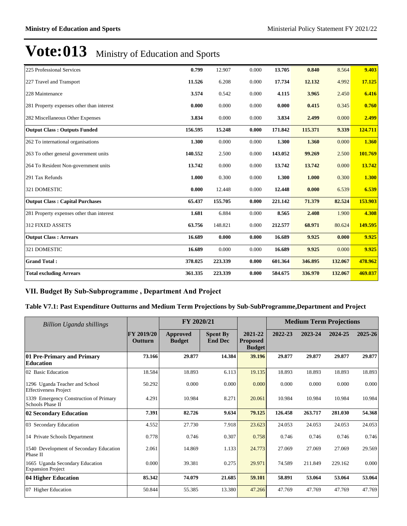| 225 Professional Services                 | 0.799   |         |       |         |         |         | 9.403   |
|-------------------------------------------|---------|---------|-------|---------|---------|---------|---------|
|                                           |         | 12.907  | 0.000 | 13.705  | 0.840   | 8.564   |         |
| 227 Travel and Transport                  | 11.526  | 6.208   | 0.000 | 17.734  | 12.132  | 4.992   | 17.125  |
| 228 Maintenance                           | 3.574   | 0.542   | 0.000 | 4.115   | 3.965   | 2.450   | 6.416   |
| 281 Property expenses other than interest | 0.000   | 0.000   | 0.000 | 0.000   | 0.415   | 0.345   | 0.760   |
| 282 Miscellaneous Other Expenses          | 3.834   | 0.000   | 0.000 | 3.834   | 2.499   | 0.000   | 2.499   |
| <b>Output Class: Outputs Funded</b>       | 156.595 | 15.248  | 0.000 | 171.842 | 115.371 | 9.339   | 124.711 |
| 262 To international organisations        | 1.300   | 0.000   | 0.000 | 1.300   | 1.360   | 0.000   | 1.360   |
| 263 To other general government units     | 140.552 | 2.500   | 0.000 | 143.052 | 99.269  | 2.500   | 101.769 |
| 264 To Resident Non-government units      | 13.742  | 0.000   | 0.000 | 13.742  | 13.742  | 0.000   | 13.742  |
| 291 Tax Refunds                           | 1.000   | 0.300   | 0.000 | 1.300   | 1.000   | 0.300   | 1.300   |
| 321 DOMESTIC                              | 0.000   | 12.448  | 0.000 | 12.448  | 0.000   | 6.539   | 6.539   |
| <b>Output Class: Capital Purchases</b>    | 65.437  | 155.705 | 0.000 | 221.142 | 71.379  | 82.524  | 153.903 |
| 281 Property expenses other than interest | 1.681   | 6.884   | 0.000 | 8.565   | 2.408   | 1.900   | 4.308   |
| <b>312 FIXED ASSETS</b>                   | 63.756  | 148.821 | 0.000 | 212.577 | 68.971  | 80.624  | 149.595 |
| <b>Output Class: Arrears</b>              | 16.689  | 0.000   | 0.000 | 16.689  | 9.925   | 0.000   | 9.925   |
| 321 DOMESTIC                              | 16.689  | 0.000   | 0.000 | 16.689  | 9.925   | 0.000   | 9.925   |
| <b>Grand Total:</b>                       | 378.025 | 223.339 | 0.000 | 601.364 | 346.895 | 132.067 | 478.962 |
| <b>Total excluding Arrears</b>            | 361.335 | 223.339 | 0.000 | 584.675 | 336.970 | 132.067 | 469.037 |

## VII. Budget By Sub-Subprogramme, Department And Project

## **Table V7.1: Past Expenditure Outturns and Medium Term Projections by Sub-SubProgramme,Department and Project**

| Billion Uganda shillings                                       |                       | FY 2020/21                       |                                   |                                             | <b>Medium Term Projections</b> |         |         |         |
|----------------------------------------------------------------|-----------------------|----------------------------------|-----------------------------------|---------------------------------------------|--------------------------------|---------|---------|---------|
|                                                                | FY 2019/20<br>Outturn | <b>Approved</b><br><b>Budget</b> | <b>Spent By</b><br><b>End Dec</b> | 2021-22<br><b>Proposed</b><br><b>Budget</b> | 2022-23                        | 2023-24 | 2024-25 | 2025-26 |
| 01 Pre-Primary and Primary<br><b>Education</b>                 | 73.166                | 29.877                           | 14.384                            | 39.196                                      | 29.877                         | 29.877  | 29.877  | 29.877  |
| 02 Basic Education                                             | 18.584                | 18.893                           | 6.113                             | 19.135                                      | 18.893                         | 18.893  | 18.893  | 18.893  |
| 1296 Uganda Teacher and School<br><b>Effectiveness Project</b> | 50.292                | 0.000                            | 0.000                             | 0.000                                       | 0.000                          | 0.000   | 0.000   | 0.000   |
| 1339 Emergency Construction of Primary<br>Schools Phase II     | 4.291                 | 10.984                           | 8.271                             | 20.061                                      | 10.984                         | 10.984  | 10.984  | 10.984  |
| 02 Secondary Education                                         | 7.391                 | 82.726                           | 9.634                             | 79.125                                      | 126.458                        | 263.717 | 281.030 | 54.368  |
| 03 Secondary Education                                         | 4.552                 | 27.730                           | 7.918                             | 23.623                                      | 24.053                         | 24.053  | 24.053  | 24.053  |
| 14 Private Schools Department                                  | 0.778                 | 0.746                            | 0.307                             | 0.758                                       | 0.746                          | 0.746   | 0.746   | 0.746   |
| 1540 Development of Secondary Education<br>Phase II            | 2.061                 | 14.869                           | 1.133                             | 24.773                                      | 27.069                         | 27.069  | 27.069  | 29.569  |
| 1665 Uganda Secondary Education<br><b>Expansion Project</b>    | 0.000                 | 39.381                           | 0.275                             | 29.971                                      | 74.589                         | 211.849 | 229.162 | 0.000   |
| 04 Higher Education                                            | 85.342                | 74.079                           | 21.685                            | 59.101                                      | 58.891                         | 53.064  | 53.064  | 53.064  |
| 07 Higher Education                                            | 50.844                | 55.385                           | 13.380                            | 47.266                                      | 47.769                         | 47.769  | 47.769  | 47.769  |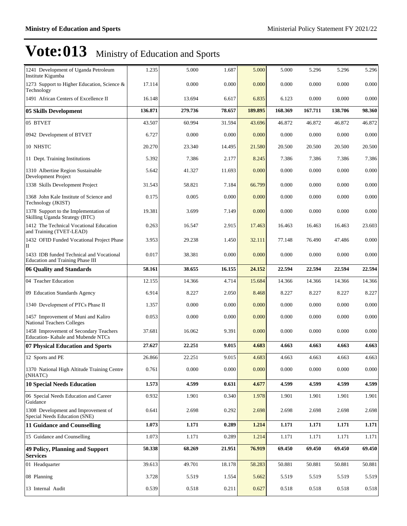| 1241 Development of Uganda Petroleum<br>Institute Kigumba                    | 1.235   | 5.000   | 1.687  | 5.000   | 5.000   | 5.296   | 5.296   | 5.296  |
|------------------------------------------------------------------------------|---------|---------|--------|---------|---------|---------|---------|--------|
| 1273 Support to Higher Education, Science &<br>Technology                    | 17.114  | 0.000   | 0.000  | 0.000   | 0.000   | 0.000   | 0.000   | 0.000  |
| 1491 African Centers of Excellence II                                        | 16.148  | 13.694  | 6.617  | 6.835   | 6.123   | 0.000   | 0.000   | 0.000  |
| 05 Skills Development                                                        | 136.871 | 279.736 | 78.657 | 189.895 | 168.369 | 167.711 | 138.706 | 98.360 |
| 05 BTVET                                                                     | 43.507  | 60.994  | 31.594 | 43.696  | 46.872  | 46.872  | 46.872  | 46.872 |
| 0942 Development of BTVET                                                    | 6.727   | 0.000   | 0.000  | 0.000   | 0.000   | 0.000   | 0.000   | 0.000  |
| 10 NHSTC                                                                     | 20.270  | 23.340  | 14.495 | 21.580  | 20.500  | 20.500  | 20.500  | 20.500 |
| 11 Dept. Training Institutions                                               | 5.392   | 7.386   | 2.177  | 8.245   | 7.386   | 7.386   | 7.386   | 7.386  |
| 1310 Albertine Region Sustainable<br>Development Project                     | 5.642   | 41.327  | 11.693 | 0.000   | 0.000   | 0.000   | 0.000   | 0.000  |
| 1338 Skills Development Project                                              | 31.543  | 58.821  | 7.184  | 66.799  | 0.000   | 0.000   | 0.000   | 0.000  |
| 1368 John Kale Institute of Science and<br>Technology (JKIST)                | 0.175   | 0.005   | 0.000  | 0.000   | 0.000   | 0.000   | 0.000   | 0.000  |
| 1378 Support to the Implementation of<br>Skilling Uganda Strategy (BTC)      | 19.381  | 3.699   | 7.149  | 0.000   | 0.000   | 0.000   | 0.000   | 0.000  |
| 1412 The Technical Vocational Education<br>and Training (TVET-LEAD)          | 0.263   | 16.547  | 2.915  | 17.463  | 16.463  | 16.463  | 16.463  | 23.603 |
| 1432 OFID Funded Vocational Project Phase<br>П                               | 3.953   | 29.238  | 1.450  | 32.111  | 77.148  | 76.490  | 47.486  | 0.000  |
| 1433 IDB funded Technical and Vocational<br>Education and Training Phase III | 0.017   | 38.381  | 0.000  | 0.000   | 0.000   | 0.000   | 0.000   | 0.000  |
| 06 Quality and Standards                                                     | 58.161  | 38.655  | 16.155 | 24.152  | 22.594  | 22.594  | 22.594  | 22.594 |
| 04 Teacher Education                                                         | 12.155  | 14.366  | 4.714  | 15.684  | 14.366  | 14.366  | 14.366  | 14.366 |
| 09 Education Standards Agency                                                | 6.914   | 8.227   | 2.050  | 8.468   | 8.227   | 8.227   | 8.227   | 8.227  |
| 1340 Development of PTCs Phase II                                            | 1.357   | 0.000   | 0.000  | 0.000   | 0.000   | 0.000   | 0.000   | 0.000  |
| 1457 Improvement of Muni and Kaliro<br><b>National Teachers Colleges</b>     | 0.053   | 0.000   | 0.000  | 0.000   | 0.000   | 0.000   | 0.000   | 0.000  |
| 1458 Improvement of Secondary Teachers<br>Education-Kabale and Mubende NTCs  | 37.681  | 16.062  | 9.391  | 0.000   | 0.000   | 0.000   | 0.000   | 0.000  |
| 07 Physical Education and Sports                                             | 27.627  | 22.251  | 9.015  | 4.683   | 4.663   | 4.663   | 4.663   | 4.663  |
| 12 Sports and PE                                                             | 26.866  | 22.251  | 9.015  | 4.683   | 4.663   | 4.663   | 4.663   | 4.663  |
| 1370 National High Altitude Training Centre<br>(NHATC)                       | 0.761   | 0.000   | 0.000  | 0.000   | 0.000   | 0.000   | 0.000   | 0.000  |
| <b>10 Special Needs Education</b>                                            | 1.573   | 4.599   | 0.631  | 4.677   | 4.599   | 4.599   | 4.599   | 4.599  |
| 06 Special Needs Education and Career<br>Guidance                            | 0.932   | 1.901   | 0.340  | 1.978   | 1.901   | 1.901   | 1.901   | 1.901  |
| 1308 Development and Improvement of<br>Special Needs Education (SNE)         | 0.641   | 2.698   | 0.292  | 2.698   | 2.698   | 2.698   | 2.698   | 2.698  |
| 11 Guidance and Counselling                                                  | 1.073   | 1.171   | 0.289  | 1.214   | 1.171   | 1.171   | 1.171   | 1.171  |
| 15 Guidance and Counselling                                                  | 1.073   | 1.171   | 0.289  | 1.214   | 1.171   | 1.171   | 1.171   | 1.171  |
| <b>49 Policy, Planning and Support</b><br><b>Services</b>                    | 50.338  | 68.269  | 21.951 | 76.919  | 69.450  | 69.450  | 69.450  | 69.450 |
| 01 Headquarter                                                               | 39.613  | 49.701  | 18.178 | 58.283  | 50.881  | 50.881  | 50.881  | 50.881 |
| 08 Planning                                                                  | 3.728   | 5.519   | 1.554  | 5.662   | 5.519   | 5.519   | 5.519   | 5.519  |
| 13 Internal Audit                                                            | 0.539   | 0.518   | 0.211  | 0.627   | 0.518   | 0.518   | 0.518   | 0.518  |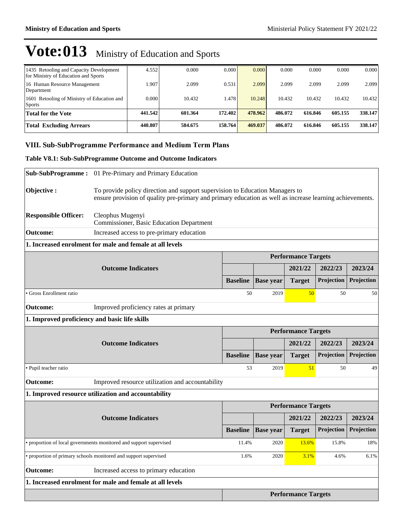| 1435 Retooling and Capacity Development<br>for Ministry of Education and Sports | 4.552   | 0.000   | 0.000   | 0.000   | 0.000   | 0.000   | 0.000   | 0.000   |
|---------------------------------------------------------------------------------|---------|---------|---------|---------|---------|---------|---------|---------|
| 16 Human Resource Management<br>Department                                      | 1.907   | 2.099   | 0.531   | 2.099   | 2.099   | 2.099   | 2.099   | 2.099   |
| 1601 Retooling of Ministry of Education and<br><b>Sports</b>                    | 0.000   | 10.432  | 1.478   | 10.248  | 10.432  | 10.432  | 10.432  | 10.432  |
| Total for the Vote                                                              | 441.542 | 601.364 | 172.402 | 478.962 | 486.072 | 616.846 | 605.155 | 338.147 |
| <b>Total Excluding Arrears</b>                                                  | 440.807 | 584.675 | 158.764 | 469.037 | 486.072 | 616.846 | 605.155 | 338.147 |

## **VIII. Sub-SubProgramme Performance and Medium Term Plans**

### **Table V8.1: Sub-SubProgramme Outcome and Outcome Indicators**

|                                               | Sub-SubProgramme: 01 Pre-Primary and Primary Education                                                                                                                                   |                 |                  |                            |                   |            |
|-----------------------------------------------|------------------------------------------------------------------------------------------------------------------------------------------------------------------------------------------|-----------------|------------------|----------------------------|-------------------|------------|
| Objective:                                    | To provide policy direction and support supervision to Education Managers to<br>ensure provision of quality pre-primary and primary education as well as increase learning achievements. |                 |                  |                            |                   |            |
| <b>Responsible Officer:</b>                   | Cleophus Mugenyi<br>Commissioner, Basic Education Department                                                                                                                             |                 |                  |                            |                   |            |
| <b>Outcome:</b>                               | Increased access to pre-primary education                                                                                                                                                |                 |                  |                            |                   |            |
|                                               | 1. Increased enrolment for male and female at all levels                                                                                                                                 |                 |                  |                            |                   |            |
|                                               |                                                                                                                                                                                          |                 |                  | <b>Performance Targets</b> |                   |            |
|                                               | <b>Outcome Indicators</b>                                                                                                                                                                |                 |                  | 2021/22                    | 2022/23           | 2023/24    |
|                                               |                                                                                                                                                                                          | <b>Baseline</b> | <b>Base year</b> | <b>Target</b>              | Projection        | Projection |
| Gross Enrollment ratio                        |                                                                                                                                                                                          | 50              | 2019             | 50                         | 50                | 50         |
| <b>Outcome:</b>                               | Improved proficiency rates at primary                                                                                                                                                    |                 |                  |                            |                   |            |
| 1. Improved proficiency and basic life skills |                                                                                                                                                                                          |                 |                  |                            |                   |            |
|                                               |                                                                                                                                                                                          |                 |                  | <b>Performance Targets</b> |                   |            |
|                                               | <b>Outcome Indicators</b>                                                                                                                                                                |                 |                  | 2021/22                    | 2022/23           | 2023/24    |
|                                               |                                                                                                                                                                                          | <b>Baseline</b> | <b>Base year</b> | <b>Target</b>              | <b>Projection</b> | Projection |
| · Pupil teacher ratio                         |                                                                                                                                                                                          | 53              | 2019             | 51                         | 50                | 49         |
| <b>Outcome:</b>                               | Improved resource utilization and accountability                                                                                                                                         |                 |                  |                            |                   |            |
|                                               | 1. Improved resource utilization and accountability                                                                                                                                      |                 |                  |                            |                   |            |
|                                               |                                                                                                                                                                                          |                 |                  | <b>Performance Targets</b> |                   |            |
|                                               | <b>Outcome Indicators</b>                                                                                                                                                                |                 |                  | 2021/22                    | 2022/23           | 2023/24    |
|                                               |                                                                                                                                                                                          | <b>Baseline</b> | <b>Base year</b> | <b>Target</b>              | Projection        | Projection |
|                                               | • proportion of local governments monitored and support supervised                                                                                                                       | 11.4%           | 2020             | 13.6%                      | 15.8%             | 18%        |
|                                               | proportion of primary schools monitored and support supervised                                                                                                                           | 1.6%            | 2020             | 3.1%                       | 4.6%              | 6.1%       |
| <b>Outcome:</b>                               | Increased access to primary education                                                                                                                                                    |                 |                  |                            |                   |            |
|                                               | 1. Increased enrolment for male and female at all levels                                                                                                                                 |                 |                  |                            |                   |            |
|                                               |                                                                                                                                                                                          |                 |                  | <b>Performance Targets</b> |                   |            |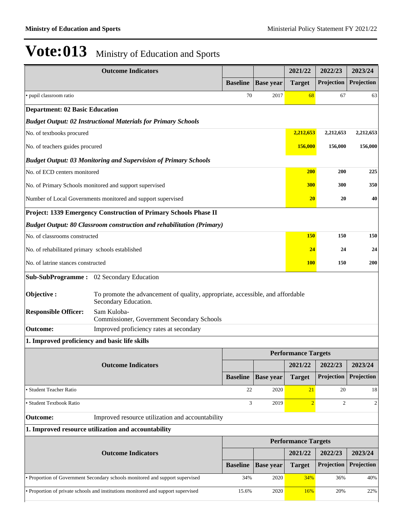|                                                  | <b>Outcome Indicators</b>                                                                              |                 |                  | 2021/22                    | 2022/23      | 2023/24        |
|--------------------------------------------------|--------------------------------------------------------------------------------------------------------|-----------------|------------------|----------------------------|--------------|----------------|
|                                                  |                                                                                                        | <b>Baseline</b> | <b>Base year</b> | <b>Target</b>              | Projection   | Projection     |
| • pupil classroom ratio                          |                                                                                                        | 70              | 2017             | 68                         | 67           | 63             |
| <b>Department: 02 Basic Education</b>            |                                                                                                        |                 |                  |                            |              |                |
|                                                  | <b>Budget Output: 02 Instructional Materials for Primary Schools</b>                                   |                 |                  |                            |              |                |
| No. of textbooks procured                        |                                                                                                        |                 |                  | 2,212,653                  | 2,212,653    | 2,212,653      |
| No. of teachers guides procured                  |                                                                                                        |                 |                  | 156,000                    | 156,000      | 156,000        |
|                                                  | <b>Budget Output: 03 Monitoring and Supervision of Primary Schools</b>                                 |                 |                  |                            |              |                |
| No. of ECD centers monitored                     |                                                                                                        |                 |                  | <b>200</b>                 | 200          | 225            |
|                                                  | No. of Primary Schools monitored and support supervised                                                |                 |                  | 300                        | 300          | 350            |
|                                                  | Number of Local Governments monitored and support supervised                                           |                 |                  | 20                         | 20           | 40             |
|                                                  | Project: 1339 Emergency Construction of Primary Schools Phase II                                       |                 |                  |                            |              |                |
|                                                  | Budget Output: 80 Classroom construction and rehabilitation (Primary)                                  |                 |                  |                            |              |                |
| No. of classrooms constructed                    |                                                                                                        |                 |                  | <b>150</b>                 | 150          | 150            |
| No. of rehabilitated primary schools established |                                                                                                        |                 |                  | 24                         | 24           | 24             |
| No. of latrine stances constructed               |                                                                                                        |                 |                  | <b>100</b>                 | 150          | <b>200</b>     |
|                                                  | Sub-SubProgramme : 02 Secondary Education                                                              |                 |                  |                            |              |                |
| Objective:                                       | To promote the advancement of quality, appropriate, accessible, and affordable<br>Secondary Education. |                 |                  |                            |              |                |
| <b>Responsible Officer:</b>                      | Sam Kuloba-<br><b>Commissioner, Government Secondary Schools</b>                                       |                 |                  |                            |              |                |
| <b>Outcome:</b>                                  | Improved proficiency rates at secondary                                                                |                 |                  |                            |              |                |
| 1. Improved proficiency and basic life skills    |                                                                                                        |                 |                  |                            |              |                |
|                                                  |                                                                                                        |                 |                  | <b>Performance Targets</b> |              |                |
|                                                  | <b>Outcome Indicators</b>                                                                              |                 |                  | 2021/22                    | 2022/23      | 2023/24        |
|                                                  |                                                                                                        | <b>Baseline</b> | <b>Base year</b> | <b>Target</b>              | Projection   | Projection     |
| · Student Teacher Ratio                          |                                                                                                        | 22              | 2020             | 21                         | 20           | 18             |
| • Student Textbook Ratio                         |                                                                                                        | 3               | 2019             | $\overline{2}$             | $\mathbf{2}$ | $\overline{c}$ |
| <b>Outcome:</b>                                  | Improved resource utilization and accountability                                                       |                 |                  |                            |              |                |
|                                                  | 1. Improved resource utilization and accountability                                                    |                 |                  |                            |              |                |
|                                                  |                                                                                                        |                 |                  | <b>Performance Targets</b> |              |                |
|                                                  | <b>Outcome Indicators</b>                                                                              |                 |                  | 2021/22                    | 2022/23      | 2023/24        |
|                                                  |                                                                                                        | <b>Baseline</b> | <b>Base year</b> | <b>Target</b>              | Projection   | Projection     |
|                                                  | • Proportion of Government Secondary schools monitored and support supervised                          | 34%             | 2020             | 34%                        | 36%          | 40%            |
|                                                  | • Proportion of private schools and institutions monitored and support supervised                      | 15.6%           | 2020             | 16%                        | 20%          | 22%            |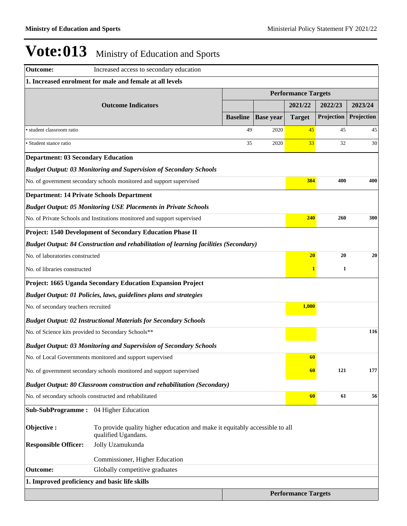| <b>Outcome:</b>                                     | Increased access to secondary education                                                            |                 |                  |                            |            |            |
|-----------------------------------------------------|----------------------------------------------------------------------------------------------------|-----------------|------------------|----------------------------|------------|------------|
|                                                     | 1. Increased enrolment for male and female at all levels                                           |                 |                  |                            |            |            |
|                                                     |                                                                                                    |                 |                  | <b>Performance Targets</b> |            |            |
|                                                     | <b>Outcome Indicators</b>                                                                          |                 |                  | 2021/22                    | 2022/23    | 2023/24    |
|                                                     |                                                                                                    | <b>Baseline</b> | <b>Base year</b> | <b>Target</b>              | Projection | Projection |
| · student classroom ratio                           |                                                                                                    | 49              | 2020             | 45                         | 45         | 45         |
| • Student stance ratio                              |                                                                                                    | 35              | 2020             | 33                         | 32         | 30         |
| <b>Department: 03 Secondary Education</b>           |                                                                                                    |                 |                  |                            |            |            |
|                                                     | <b>Budget Output: 03 Monitoring and Supervision of Secondary Schools</b>                           |                 |                  |                            |            |            |
|                                                     | No. of government secondary schools monitored and support supervised                               |                 |                  | 384                        | 400        | 400        |
| <b>Department: 14 Private Schools Department</b>    |                                                                                                    |                 |                  |                            |            |            |
|                                                     | <b>Budget Output: 05 Monitoring USE Placements in Private Schools</b>                              |                 |                  |                            |            |            |
|                                                     | No. of Private Schools and Institutions monitored and support supervised                           |                 |                  | 240                        | 260        | 300        |
|                                                     | Project: 1540 Development of Secondary Education Phase II                                          |                 |                  |                            |            |            |
|                                                     | <b>Budget Output: 84 Construction and rehabilitation of learning facilities (Secondary)</b>        |                 |                  |                            |            |            |
| No. of laboratories constructed                     |                                                                                                    |                 |                  | 20                         | 20         | 20         |
| No. of libraries constructed                        |                                                                                                    |                 |                  | 1                          | 1          |            |
|                                                     | Project: 1665 Uganda Secondary Education Expansion Project                                         |                 |                  |                            |            |            |
|                                                     | <b>Budget Output: 01 Policies, laws, guidelines plans and strategies</b>                           |                 |                  |                            |            |            |
| No. of secondary teachers recruited                 |                                                                                                    |                 |                  | 1,000                      |            |            |
|                                                     | <b>Budget Output: 02 Instructional Materials for Secondary Schools</b>                             |                 |                  |                            |            |            |
| No. of Science kits provided to Secondary Schools** |                                                                                                    |                 |                  |                            |            | 116        |
|                                                     | <b>Budget Output: 03 Monitoring and Supervision of Secondary Schools</b>                           |                 |                  |                            |            |            |
|                                                     | No. of Local Governments monitored and support supervised                                          |                 |                  | 60                         |            |            |
|                                                     | No. of government secondary schools monitored and support supervised                               |                 |                  | 60                         | 121        | 177        |
|                                                     | <b>Budget Output: 80 Classroom construction and rehabilitation (Secondary)</b>                     |                 |                  |                            |            |            |
|                                                     | No. of secondary schools constructed and rehabilitated                                             |                 |                  | 60                         | 61         | 56         |
| <b>Sub-SubProgramme:</b> 04 Higher Education        |                                                                                                    |                 |                  |                            |            |            |
| Objective:                                          | To provide quality higher education and make it equitably accessible to all<br>qualified Ugandans. |                 |                  |                            |            |            |
| <b>Responsible Officer:</b>                         | Jolly Uzamukunda                                                                                   |                 |                  |                            |            |            |
|                                                     | Commissioner, Higher Education                                                                     |                 |                  |                            |            |            |
| <b>Outcome:</b>                                     | Globally competitive graduates                                                                     |                 |                  |                            |            |            |
| 1. Improved proficiency and basic life skills       |                                                                                                    |                 |                  |                            |            |            |
|                                                     |                                                                                                    |                 |                  | <b>Performance Targets</b> |            |            |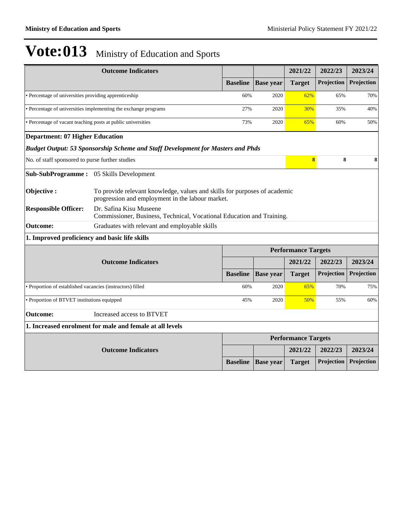|                                                              | <b>Outcome Indicators</b>                                                                                                     |                 |                  | 2021/22                    | 2022/23    | 2023/24    |  |
|--------------------------------------------------------------|-------------------------------------------------------------------------------------------------------------------------------|-----------------|------------------|----------------------------|------------|------------|--|
|                                                              |                                                                                                                               | <b>Baseline</b> | <b>Base</b> year | <b>Target</b>              | Projection | Projection |  |
| • Percentage of universities providing apprenticeship        |                                                                                                                               | 60%             | 2020             | 62%                        | 65%        | 70%        |  |
|                                                              | • Percentage of universities implementing the exchange programs                                                               | 27%             | 2020             | 30%                        | 35%        | 40%        |  |
| • Percentage of vacant teaching posts at public universities |                                                                                                                               | 73%             | 2020             | 65%                        | 60%        | 50%        |  |
| <b>Department: 07 Higher Education</b>                       |                                                                                                                               |                 |                  |                            |            |            |  |
|                                                              | <b>Budget Output: 53 Sponsorship Scheme and Staff Development for Masters and Phds</b>                                        |                 |                  |                            |            |            |  |
| No. of staff sponsored to purse further studies              |                                                                                                                               |                 |                  | $\overline{\mathbf{8}}$    | 8          | 8          |  |
| Sub-SubProgramme: 05 Skills Development                      |                                                                                                                               |                 |                  |                            |            |            |  |
| Objective :                                                  | To provide relevant knowledge, values and skills for purposes of academic<br>progression and employment in the labour market. |                 |                  |                            |            |            |  |
| <b>Responsible Officer:</b>                                  | Dr. Safina Kisu Museene<br>Commissioner, Business, Technical, Vocational Education and Training.                              |                 |                  |                            |            |            |  |
| Outcome:                                                     | Graduates with relevant and employable skills                                                                                 |                 |                  |                            |            |            |  |
| 1. Improved proficiency and basic life skills                |                                                                                                                               |                 |                  |                            |            |            |  |
|                                                              |                                                                                                                               |                 |                  | <b>Performance Targets</b> |            |            |  |
|                                                              | <b>Outcome Indicators</b>                                                                                                     |                 |                  | 2021/22                    | 2022/23    | 2023/24    |  |
|                                                              |                                                                                                                               | <b>Baseline</b> | <b>Base</b> year | <b>Target</b>              | Projection | Projection |  |
| • Proportion of established vacancies (instructors) filled   |                                                                                                                               | 60%             | 2020             | 65%                        | 70%        | 75%        |  |
| • Proportion of BTVET institutions equipped                  |                                                                                                                               | 45%             | 2020             | 50%                        | 55%        | 60%        |  |
| <b>Outcome:</b>                                              | Increased access to BTVET                                                                                                     |                 |                  |                            |            |            |  |
|                                                              | 1. Increased enrolment for male and female at all levels                                                                      |                 |                  |                            |            |            |  |
|                                                              |                                                                                                                               |                 |                  | <b>Performance Targets</b> |            |            |  |
|                                                              | <b>Outcome Indicators</b>                                                                                                     |                 |                  | 2021/22                    | 2022/23    | 2023/24    |  |
|                                                              |                                                                                                                               | <b>Baseline</b> | <b>Base</b> year | <b>Target</b>              | Projection | Projection |  |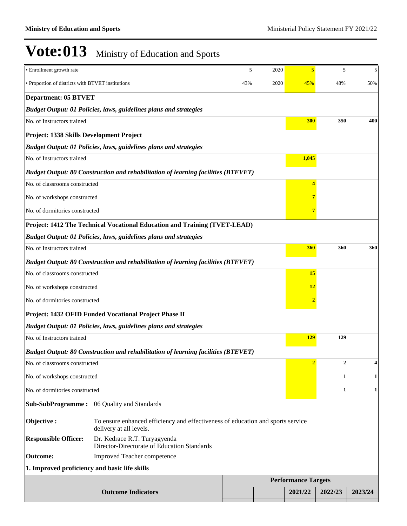| · Enrollment growth rate                          |                                                                                                            | 5   | 2020 | 5                          | 5            | 5       |  |
|---------------------------------------------------|------------------------------------------------------------------------------------------------------------|-----|------|----------------------------|--------------|---------|--|
| · Proportion of districts with BTVET institutions |                                                                                                            | 43% | 2020 | 45%                        | 48%          | 50%     |  |
| <b>Department: 05 BTVET</b>                       |                                                                                                            |     |      |                            |              |         |  |
|                                                   | <b>Budget Output: 01 Policies, laws, guidelines plans and strategies</b>                                   |     |      |                            |              |         |  |
| No. of Instructors trained                        |                                                                                                            |     |      | 300                        | 350          | 400     |  |
| Project: 1338 Skills Development Project          |                                                                                                            |     |      |                            |              |         |  |
|                                                   | <b>Budget Output: 01 Policies, laws, guidelines plans and strategies</b>                                   |     |      |                            |              |         |  |
| No. of Instructors trained                        |                                                                                                            |     |      | 1,045                      |              |         |  |
|                                                   | <b>Budget Output: 80 Construction and rehabilitation of learning facilities (BTEVET)</b>                   |     |      |                            |              |         |  |
| No. of classrooms constructed                     |                                                                                                            |     |      | 4                          |              |         |  |
| No. of workshops constructed                      |                                                                                                            |     |      |                            |              |         |  |
| No. of dormitories constructed                    |                                                                                                            |     |      |                            |              |         |  |
|                                                   | Project: 1412 The Technical Vocational Education and Training (TVET-LEAD)                                  |     |      |                            |              |         |  |
|                                                   | Budget Output: 01 Policies, laws, guidelines plans and strategies                                          |     |      |                            |              |         |  |
| No. of Instructors trained                        |                                                                                                            |     |      | 360                        | 360          | 360     |  |
|                                                   | <b>Budget Output: 80 Construction and rehabilitation of learning facilities (BTEVET)</b>                   |     |      |                            |              |         |  |
| No. of classrooms constructed                     |                                                                                                            |     |      | 15                         |              |         |  |
| No. of workshops constructed                      |                                                                                                            |     |      | 12                         |              |         |  |
| No. of dormitories constructed                    |                                                                                                            |     |      | 2                          |              |         |  |
|                                                   | Project: 1432 OFID Funded Vocational Project Phase II                                                      |     |      |                            |              |         |  |
|                                                   | <b>Budget Output: 01 Policies, laws, guidelines plans and strategies</b>                                   |     |      |                            |              |         |  |
| No. of Instructors trained                        |                                                                                                            |     |      | <b>129</b>                 | 129          |         |  |
|                                                   | <b>Budget Output: 80 Construction and rehabilitation of learning facilities (BTEVET)</b>                   |     |      |                            |              |         |  |
| No. of classrooms constructed                     |                                                                                                            |     |      |                            | 2            | 4       |  |
| No. of workshops constructed                      |                                                                                                            |     |      |                            | 1            | 1       |  |
| No. of dormitories constructed                    |                                                                                                            |     |      |                            | $\mathbf{1}$ | 1       |  |
| Sub-SubProgramme:                                 | 06 Quality and Standards                                                                                   |     |      |                            |              |         |  |
| Objective:                                        | To ensure enhanced efficiency and effectiveness of education and sports service<br>delivery at all levels. |     |      |                            |              |         |  |
| <b>Responsible Officer:</b>                       | Dr. Kedrace R.T. Turyagyenda<br>Director-Directorate of Education Standards                                |     |      |                            |              |         |  |
| <b>Outcome:</b>                                   | Improved Teacher competence                                                                                |     |      |                            |              |         |  |
| 1. Improved proficiency and basic life skills     |                                                                                                            |     |      |                            |              |         |  |
|                                                   |                                                                                                            |     |      | <b>Performance Targets</b> |              |         |  |
|                                                   | <b>Outcome Indicators</b>                                                                                  |     |      | 2021/22                    | 2022/23      | 2023/24 |  |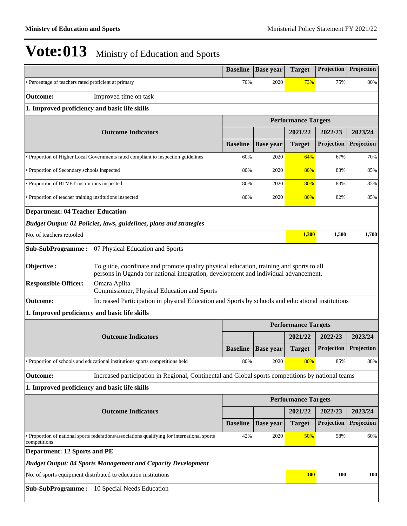|                                                         |                                                                                                                                                                                | <b>Baseline</b> | <b>Base year</b> | <b>Target</b>              | Projection | Projection |
|---------------------------------------------------------|--------------------------------------------------------------------------------------------------------------------------------------------------------------------------------|-----------------|------------------|----------------------------|------------|------------|
| • Percentage of teachers rated proficient at primary    |                                                                                                                                                                                | 70%             | 2020             | 73%                        | 75%        | 80%        |
| <b>Outcome:</b>                                         | Improved time on task                                                                                                                                                          |                 |                  |                            |            |            |
| 1. Improved proficiency and basic life skills           |                                                                                                                                                                                |                 |                  |                            |            |            |
|                                                         |                                                                                                                                                                                |                 |                  | <b>Performance Targets</b> |            |            |
|                                                         | <b>Outcome Indicators</b>                                                                                                                                                      |                 |                  | 2021/22                    | 2022/23    | 2023/24    |
|                                                         |                                                                                                                                                                                | <b>Baseline</b> | <b>Base year</b> | <b>Target</b>              | Projection | Projection |
|                                                         | • Proportion of Higher Local Governments rated compliant to inspection guidelines                                                                                              | 60%             | 2020             | 64%                        | 67%        | 70%        |
| • Proportion of Secondary schools inspected             |                                                                                                                                                                                | 80%             | 2020             | 80%                        | 83%        | 85%        |
| • Proportion of BTVET institutions inspected            |                                                                                                                                                                                | 80%             | 2020             | 80%                        | 83%        | 85%        |
| • Proportion of teacher training institutions inspected |                                                                                                                                                                                | 80%             | 2020             | 80%                        | 82%        | 85%        |
| <b>Department: 04 Teacher Education</b>                 |                                                                                                                                                                                |                 |                  |                            |            |            |
|                                                         | <b>Budget Output: 01 Policies, laws, guidelines, plans and strategies</b>                                                                                                      |                 |                  |                            |            |            |
| No. of teachers retooled                                |                                                                                                                                                                                |                 |                  | 1,300                      | 1,500      | 1,700      |
| <b>Sub-SubProgramme:</b>                                | 07 Physical Education and Sports                                                                                                                                               |                 |                  |                            |            |            |
| Objective:                                              | To guide, coordinate and promote quality physical education, training and sports to all<br>persons in Uganda for national integration, development and individual advancement. |                 |                  |                            |            |            |
| <b>Responsible Officer:</b>                             | Omara Apiita<br>Commissioner, Physical Education and Sports                                                                                                                    |                 |                  |                            |            |            |
| <b>Outcome:</b>                                         | Increased Participation in physical Education and Sports by schools and educational institutions                                                                               |                 |                  |                            |            |            |
| 1. Improved proficiency and basic life skills           |                                                                                                                                                                                |                 |                  |                            |            |            |
|                                                         |                                                                                                                                                                                |                 |                  | <b>Performance Targets</b> |            |            |
|                                                         | <b>Outcome Indicators</b>                                                                                                                                                      |                 |                  | 2021/22                    | 2022/23    | 2023/24    |
|                                                         |                                                                                                                                                                                | <b>Baseline</b> | <b>Base year</b> | <b>Target</b>              | Projection | Projection |
|                                                         | • Proportion of schools and educational institutions sports competitions held                                                                                                  | 80%             | 2020             | 80%                        | 85%        | 88%        |
| <b>Outcome:</b>                                         | Increased participation in Regional, Continental and Global sports competitions by national teams                                                                              |                 |                  |                            |            |            |
| 1. Improved proficiency and basic life skills           |                                                                                                                                                                                |                 |                  |                            |            |            |
|                                                         |                                                                                                                                                                                |                 |                  | <b>Performance Targets</b> |            |            |
|                                                         | <b>Outcome Indicators</b>                                                                                                                                                      |                 |                  | 2021/22                    | 2022/23    | 2023/24    |
|                                                         |                                                                                                                                                                                | <b>Baseline</b> | <b>Base year</b> | <b>Target</b>              | Projection | Projection |
| competitions                                            | • Proportion of national sports federations/associations qualifying for international sports                                                                                   | 42%             | 2020             | <b>50%</b>                 | 58%        | 60%        |
| <b>Department: 12 Sports and PE</b>                     |                                                                                                                                                                                |                 |                  |                            |            |            |
|                                                         | <b>Budget Output: 04 Sports Management and Capacity Development</b>                                                                                                            |                 |                  |                            |            |            |
|                                                         | No. of sports equipment distributed to education institutions                                                                                                                  |                 |                  | <b>100</b>                 | 100        | 100        |
|                                                         | <b>Sub-SubProgramme:</b> 10 Special Needs Education                                                                                                                            |                 |                  |                            |            |            |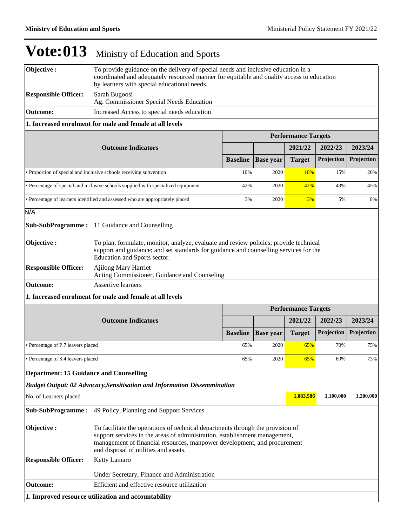| Objective:                                                         | To provide guidance on the delivery of special needs and inclusive education in a<br>coordinated and adequately resourced manner for equitable and quality access to education<br>by learners with special educational needs.                                                     |                 |                  |                            |            |            |
|--------------------------------------------------------------------|-----------------------------------------------------------------------------------------------------------------------------------------------------------------------------------------------------------------------------------------------------------------------------------|-----------------|------------------|----------------------------|------------|------------|
| <b>Responsible Officer:</b>                                        | Sarah Bugoosi<br>Ag. Commissioner Special Needs Education                                                                                                                                                                                                                         |                 |                  |                            |            |            |
| <b>Outcome:</b>                                                    | Increased Access to special needs education                                                                                                                                                                                                                                       |                 |                  |                            |            |            |
|                                                                    | 1. Increased enrolment for male and female at all levels                                                                                                                                                                                                                          |                 |                  |                            |            |            |
|                                                                    |                                                                                                                                                                                                                                                                                   |                 |                  | <b>Performance Targets</b> |            |            |
|                                                                    | <b>Outcome Indicators</b>                                                                                                                                                                                                                                                         |                 |                  | 2021/22                    | 2022/23    | 2023/24    |
|                                                                    |                                                                                                                                                                                                                                                                                   | <b>Baseline</b> | <b>Base year</b> | <b>Target</b>              | Projection | Projection |
| • Proportion of special and inclusive schools receiving subvention |                                                                                                                                                                                                                                                                                   |                 | 2020             | 10%                        | 15%        | 20%        |
|                                                                    | • Percentage of special and inclusive schools supplied with specialized equipment                                                                                                                                                                                                 | 42%             | 2020             | 42%                        | 43%        | 45%        |
|                                                                    | • Percentage of learners identified and assessed who are appropriately placed                                                                                                                                                                                                     | 3%              | 2020             | 3%                         | 5%         | 8%         |
| N/A                                                                |                                                                                                                                                                                                                                                                                   |                 |                  |                            |            |            |
|                                                                    | <b>Sub-SubProgramme:</b> 11 Guidance and Counselling                                                                                                                                                                                                                              |                 |                  |                            |            |            |
| Objective:                                                         | To plan, formulate, monitor, analyze, evaluate and review policies; provide technical<br>support and guidance; and set standards for guidance and counselling services for the<br>Education and Sports sector.                                                                    |                 |                  |                            |            |            |
| <b>Responsible Officer:</b>                                        | <b>Ajilong Mary Harriet</b><br>Acting Commissioner, Guidance and Counseling                                                                                                                                                                                                       |                 |                  |                            |            |            |
| <b>Outcome:</b>                                                    | <b>Assertive learners</b>                                                                                                                                                                                                                                                         |                 |                  |                            |            |            |
|                                                                    | 1. Increased enrolment for male and female at all levels                                                                                                                                                                                                                          |                 |                  |                            |            |            |
|                                                                    |                                                                                                                                                                                                                                                                                   |                 |                  | <b>Performance Targets</b> |            |            |
|                                                                    |                                                                                                                                                                                                                                                                                   |                 |                  |                            |            |            |
|                                                                    | <b>Outcome Indicators</b>                                                                                                                                                                                                                                                         |                 |                  | 2021/22                    | 2022/23    | 2023/24    |
|                                                                    |                                                                                                                                                                                                                                                                                   | <b>Baseline</b> | <b>Base year</b> | <b>Target</b>              | Projection | Projection |
| • Percentage of P.7 leavers placed                                 |                                                                                                                                                                                                                                                                                   | 65%             | 2020             | 65%                        | 70%        | 75%        |
| • Percentage of S.4 leavers placed                                 |                                                                                                                                                                                                                                                                                   | 65%             | 2020             | 65%                        | 69%        | 73%        |
| <b>Department: 15 Guidance and Counselling</b>                     |                                                                                                                                                                                                                                                                                   |                 |                  |                            |            |            |
|                                                                    | <b>Budget Output: 02 Advocacy, Sensitisation and Information Dissemmination</b>                                                                                                                                                                                                   |                 |                  |                            |            |            |
| No. of Learners placed                                             |                                                                                                                                                                                                                                                                                   |                 |                  | 1,083,586                  | 1,100,000  | 1,200,000  |
| <b>Sub-SubProgramme:</b>                                           | 49 Policy, Planning and Support Services                                                                                                                                                                                                                                          |                 |                  |                            |            |            |
| Objective:                                                         | To facilitate the operations of technical departments through the provision of<br>support services in the areas of administration, establishment management,<br>management of financial resources, manpower development, and procurement<br>and disposal of utilities and assets. |                 |                  |                            |            |            |
| <b>Responsible Officer:</b>                                        | Ketty Lamaro                                                                                                                                                                                                                                                                      |                 |                  |                            |            |            |
|                                                                    | Under Secretary, Finance and Administration                                                                                                                                                                                                                                       |                 |                  |                            |            |            |
| <b>Outcome:</b>                                                    | Efficient and effective resource utilization                                                                                                                                                                                                                                      |                 |                  |                            |            |            |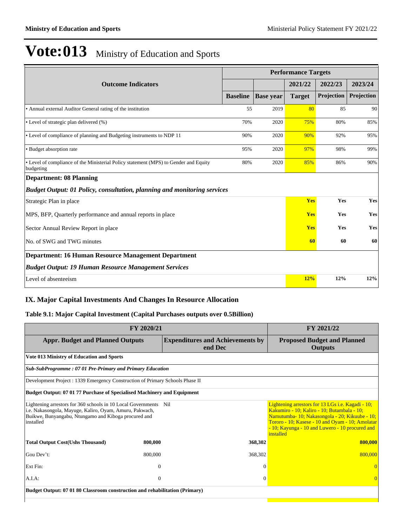|                                                                                                   |                 |                  | <b>Performance Targets</b> |            |            |
|---------------------------------------------------------------------------------------------------|-----------------|------------------|----------------------------|------------|------------|
| <b>Outcome Indicators</b>                                                                         |                 |                  | 2021/22                    | 2022/23    | 2023/24    |
|                                                                                                   | <b>Baseline</b> | <b>Base year</b> | <b>Target</b>              | Projection | Projection |
| • Annual external Auditor General rating of the institution                                       | 55              | 2019             | 80                         | 85         | 90         |
| • Level of strategic plan delivered (%)                                                           | 70%             | 2020             | 75%                        | 80%        | 85%        |
| • Level of compliance of planning and Budgeting instruments to NDP 11                             | 90%             | 2020             | 90%                        | 92%        | 95%        |
| • Budget absorption rate                                                                          | 95%             | 2020             | 97%                        | 98%        | 99%        |
| • Level of compliance of the Ministerial Policy statement (MPS) to Gender and Equity<br>budgeting | 80%             | 2020             | 85%                        | 86%        | 90%        |
| <b>Department: 08 Planning</b>                                                                    |                 |                  |                            |            |            |
| <b>Budget Output: 01 Policy, consultation, planning and monitoring services</b>                   |                 |                  |                            |            |            |
| Strategic Plan in place                                                                           |                 |                  | <b>Yes</b>                 | Yes        | Yes        |
| MPS, BFP, Quarterly performance and annual reports in place                                       |                 |                  | <b>Yes</b>                 | Yes        | Yes        |
| Sector Annual Review Report in place                                                              |                 |                  | <b>Yes</b>                 | Yes        | Yes        |
| No. of SWG and TWG minutes                                                                        |                 |                  | 60                         | 60         | 60         |
| <b>Department: 16 Human Resource Management Department</b>                                        |                 |                  |                            |            |            |
| <b>Budget Output: 19 Human Resource Management Services</b>                                       |                 |                  |                            |            |            |
| Level of absenteeism                                                                              |                 |                  | 12%                        | 12%        | 12%        |

## **IX. Major Capital Investments And Changes In Resource Allocation**

### **Table 9.1: Major Capital Investment (Capital Purchases outputs over 0.5Billion)**

| FY 2020/21                                                                                                                                                                                       |          |                                                    | FY 2021/22                                                                                                                                                                                                                                                            |
|--------------------------------------------------------------------------------------------------------------------------------------------------------------------------------------------------|----------|----------------------------------------------------|-----------------------------------------------------------------------------------------------------------------------------------------------------------------------------------------------------------------------------------------------------------------------|
| <b>Appr. Budget and Planned Outputs</b>                                                                                                                                                          |          | <b>Expenditures and Achievements by</b><br>end Dec | <b>Proposed Budget and Planned</b><br><b>Outputs</b>                                                                                                                                                                                                                  |
| <b>Vote 013 Ministry of Education and Sports</b>                                                                                                                                                 |          |                                                    |                                                                                                                                                                                                                                                                       |
| Sub-SubProgramme: 07 01 Pre-Primary and Primary Education                                                                                                                                        |          |                                                    |                                                                                                                                                                                                                                                                       |
| Development Project : 1339 Emergency Construction of Primary Schools Phase II                                                                                                                    |          |                                                    |                                                                                                                                                                                                                                                                       |
| Budget Output: 07 01 77 Purchase of Specialised Machinery and Equipment                                                                                                                          |          |                                                    |                                                                                                                                                                                                                                                                       |
| Lightening arrestors for 360 schools in 10 Local Governments Nil<br>i.e. Nakasongola, Mayuge, Kaliro, Oyam, Amuru, Pakwach,<br>Buikwe, Bunyangabu, Ntungamo and Kiboga procured and<br>installed |          |                                                    | Lightening arrestors for 13 LGs i.e. Kagadi - 10;<br>Kakumiro - 10; Kaliro - 10; Butambala - 10;<br>Namutumba-10; Nakasongola - 20; Kikuube - 10;<br>Tororo - 10; Kasese - 10 and Oyam - 10; Amolatar<br>- 10; Kayunga - 10 and Luwero - 10 procured and<br>installed |
| <b>Total Output Cost(Ushs Thousand)</b>                                                                                                                                                          | 800,000  | 368,302                                            | 800,000                                                                                                                                                                                                                                                               |
| Gou Dev't:                                                                                                                                                                                       | 800,000  | 368,302                                            | 800,000                                                                                                                                                                                                                                                               |
| Ext Fin:                                                                                                                                                                                         | $\theta$ | $\sqrt{ }$                                         |                                                                                                                                                                                                                                                                       |
| $A.I.A$ :                                                                                                                                                                                        | $\theta$ | $\Omega$                                           | $\Omega$                                                                                                                                                                                                                                                              |
| Budget Output: 07 01 80 Classroom construction and rehabilitation (Primary)                                                                                                                      |          |                                                    |                                                                                                                                                                                                                                                                       |
|                                                                                                                                                                                                  |          |                                                    |                                                                                                                                                                                                                                                                       |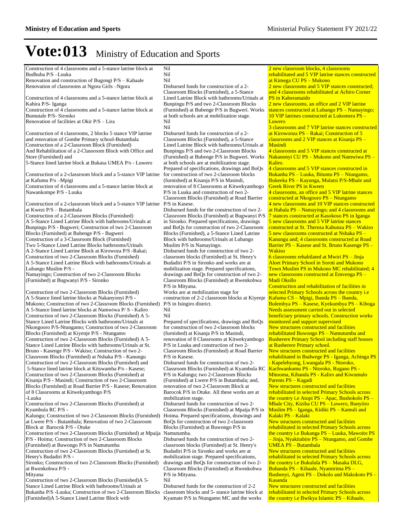Construction of 4 classrooms and a 5-stance latrine block at Budhuba P/S -Luuka Renovation and construction of Bugongi P/S - Kabaale

Renovation of classrooms at Ngora Girls -Ngora

Construction of 4 classrooms and a 5-stance latrine block at Kabira P/S- Iganga

Construction of 4 classrooms and a 5-stance latrine block at Bumutale P/S- Sironko

Renovation of facilities at Okir  $P/S - Lira$ 

Construction of 4 classrooms, 2 blocks 5 stance VIP latrine and renovation of Gombe Primary school-Butambala Construction of a 2-Classroom Block (Furnished) And Rehabilitation of a 2-Classroom Block with Office and Store (Furnished) and

5-Stance lined latrine block at Bukasa UMEA P/s - Luwero

Construction of a 2-classroom block and a 5-stance VIP latrine at Kafumu P/s -Mpigi

Construction of 4 classrooms and a 5-stance latrine block at Nawankompe P/S - Luuka

Construction of a 2-classroom block and a 5-stance VIP latrine at Kwezi P/S - Butambala

Construction of a 2-Classroom Blocks (Furnished) A 5-Stance Lined Latrine Block with bathrooms/Urinals at Bunpingu P/S - Bugweri; Construction of two 2-Classroom Blocks (Furnished) at Bubenge P/S - Bugweri Construction of a 3-Classroom Block (Furnished) Two 5-Stance Lined Latrine Blocks bathrooms/Urinals A 2-Stance Lined Latrine Block at Kirowoza P/S -Rakai; Construction of two 2-Classroom Blocks (Furnished) A 5-Stance Lined Latrine Block with bathrooms/Urinals at Lubango Muslim P/S -

Namayingo; Construction of two 2-Classroom Blocks (Furnished) at Bugwanyi P/S - Sironko

Construction of two 2-Classroom Blocks (Furnished) A 5-Stance lined latrine blocks at Nakanyonyi P/S - Mukono; Construction of two 2-Classroom Blocks (Furnished) A 5-Stance lined latrine blocks at Namwiwa P/ S - Kaliro Construction of two 2-Classroom Blocks (Furnished) A 5- Stance Lined Latrine Blocks with bathrooms/Urinals at Nkongooro P/S-Ntungamo; Construction of two 2-Classroom Blocks (Furnished) at Kiyenje P/S - Ntungamo Construction of two 2-Classroom Blocks (Furnished) A 5- Stance Lined Latrine Blocks with bathrooms/Urinals at St. Bruno - Kasenge P/S - Wakiso; Construction of two 2- Classroom Blocks (Furnished) at Nshaka P/S - Kanungu Construction of two 2-Classroom Blocks (Furnished) and 5-Stance lined latrine block at Kitswamba P/s - Kasese; Construction of two 2-Classroom Blocks (Furnished) at Kisanja P/S - Masindi; Construction of two 2-Classroom Blocks (Furnished) at Road Barrier P/S - Kasese; Renovation of 8 Classrooms at Kitwekyambogo P/S -Luuka

Construction of two 2-Classroom Blocks (Furnished) at Kyambula RC P/S -

Kalungu; Construction of two 2-Classroom Blocks (Furnished) at Lwere P/S - Butambala; Renovation of two 2-Classroom Block at Barocok P/S - Otuke

Construction of two 2-Classroom Blocks (Furnished) at Mpaija P/S - Hoima; Construction of two 2-Classroom Blocks (Furnished) at Buwongo P/S in Namutumba

Construction of two 2-Classroom Blocks (Furnished) at St. Henry's Budadiri P/S -

Sironko; Construction of two 2-Classroom Blocks (Furnished) at Rwenkobwa P/S -

Mityana

Construction of two 2-Classroom Blocks (Furnished)A 5- Stance Lined Latrine Block with bathrooms/Urinals at Bukanha P/S -Luuka; Construction of two 2-Classroom Blocks (Furnished)A 5-Stance Lined Latrine Block with

Nil

Nil

Nil Disbursed funds for construction of a 2- Classroom Blocks (Furnished), a 5-Stance Lined Latrine Block with bathrooms/Urinals at Bunpingu P/S and two 2-Classroom Blocks (Furnished) at Bubenge P/S in Bugweri. Works at both schools are at mobilization stage. Nil Nil

Disbursed funds for construction of a 2- Classroom Blocks (Furnished), a 5-Stance Lined Latrine Block with bathrooms/Urinals at Bunpingu P/S and two 2-Classroom Blocks (Furnished) at Bubenge P/S in Bugweri. Works at both schools are at mobilization stage. Prepared of specifications, drawings and BoQs for construction of two 2-classroom blocks (furnished) at Kisanja P/S in Masindi, renovation of 8 Classrooms at Kitwekyambogo P/S in Luuka and construction of two 2- Classroom Blocks (Furnished) at Road Barrier P/S in Kasese.

Disbursed funds for the construction of two 2- Classroom Blocks (Furnished) at Bugwanyi P/S in Sironko. Prepared specifications, drawings and BoQs for construction of two 2-Classroom Blocks (Furnished), a 5-Stance Lined Latrine Block with bathrooms/Urinals at Lubango Muslim P/S in Namayingo.

Disbursed funds for construction of two 2 classroom blocks (Furnished) at St. Henry's Budadiri P/S in Sironko and works are at mobilization stage. Prepared specifications, drawings and BoQs for construction of two 2- Classroom Blocks (Furnished) at Rwenkobwa P/S in Mityana.

Works are at mobilization stage for construction of 2-2 classroom blocks at Kiyenje P/S in Isingiro district. Nil

Prepared of specifications, drawings and BoQs for construction of two 2-classroom blocks (furnished) at Kisanja P/S in Masindi, renovation of 8 Classrooms at Kitwekyambogo P/S in Luuka and construction of two 2- Classroom Blocks (Furnished) at Road Barrier P/S in Kasese.

Disbursed funds for construction of two 2- Classroom Blocks (Furnished) at Kyambula RC P/S in Kalungu; two 2-Classroom Blocks (Furnished) at Lwere P/S in Butambala; and, renovation of two 2-Classroom Block at Barocok P/S in Otuke. All these works are at mobilization stage.

Disbursed funds for construction of two 2- Classroom Blocks (Furnished) at Mpaija P/S in Hoima. Prepared specifications, drawings and BoQs for construction of two 2-classroom Blocks (Furnished) at Buwongo P/S in Namutumba.

Disbursed funds for construction of two 2 classroom blocks (Furnished) at St. Henry's Budadiri P/S in Sironko and works are at mobilization stage. Prepared specifications, drawings and BoQs for construction of two 2- Classroom Blocks (Furnished) at Rwenkobwa P/S in Mityana. Nil

Disbursed funds for the construction of 2-2 classroom blocks and 5- stance latrine block at Kyamate P/S in Ntungamo MC and the works

2 new classroom blocks, 4 classrooms rehabilitated and 5 VIP latrine stances constructed at Kimega CU PS - Mukono

2 new classrooms and 5 VIP stances constructed: and 4 classrooms rehabilitated at Achiro Corner PS in Kaberamaido

2 new classrooms, an office and 2 VIP latrine stances constructed at Lubango PS - Namayingo;  $10$  VIP latrines constructed at Lukomera PS  $-$ Luwero

3 classrooms and 7 VIP latrine stances constructed at Kirowooza  $PS - Rakai$ ; Construction of 5 classrooms and  $2$  VIP stances at Kisanja PS  $-$ Masindi

4 classrooms and 5 VIP stances constructed at Nakanonyi CU PS - Mukono and Namwiwa PS -Kaliro.

4 classrooms and 5 VIP stances constructed in Bukanha PS - Luuka, Bituntu PS - Ntungamo, Bukeeka PS - Kayunga, Mulatsi P/S-Mbale and Greek River PS in Kween

4 classrooms, an office and 5 VIP latrine stances constructed at Nkogooro PS - Ntungamo 4 new classrooms and 10 VIP stances constructed

at Habala PS - Namayingo; and 4 classrooms and 7 stances constructed at Kasokoso PS in Iganga

5 new classrooms and 5 VIP latrine stances constructed at St. Thereza Kabunza PS - Wakiso  $5$  new classrooms constructed at Nshaka PS  $-$ Kanungu and; 4 classrooms constructed at Road Barrier PS - Kasese and St. Bruno Kasenge PS -Wakiso

 $6$  classrooms rehabilated at Mwiri PS  $-$  Jinja Aloet Primary School in Soroti and Mukono Town Muslim PS in Mukono MC rehabilitated; 4 new classrooms constructed at Emvenga PS -Madi Okollo

Construction and rehabilitation of facilities in selected Primary Schools across the country i.e Kafumu  $CS - M$ pigi, Ibanda PS  $-$ Ibanda,

Bulembya PS - Kasese, Kyekumbya PS - Kiboga Needs assessment carried out in selected beneficiary primary schools. Construction works monitored and support supervised New structures constructed and facilities rehabilitated Buwongo PS - Namutumba and Rusherere Primary School including staff houses

at Rusherere Primary school. New structures constructed and facilities

rehabilitated in Budwege PS - Iganga, Achinga PS - Kapelebyong, Lwangala PS - Ntoroko, Kachwankumu PS - Ntoroko, Rugano PS -

Mitooma, Kibanda PS - Kaliro and Kiwumulo Parents PS - Kagadi

New structures constructed and facilities rehabilitated in selected Primary Schools across the country i.e Atopi PS – Apac, Bushokolo PS – Mbale City, Kiziba CU PS - Luwero, Bunyiiro Muslim PS - Iganga, Kidiki PS - Kamuli and Kalaki PS - Kalaki

New structures constructed and facilities rehabilitated in selected Primary Schools across the country i.e Bukanga  $PS - Luuka$ , Mawoito PS  $-$  Jinja, Nyakitabire PS – Ntungamo, and Gombe  $UMEA$   $PS - Butambala$ 

New structures constructed and facilities rehabilitated in selected Primary Schools across the country i.e Bukulula PS - Masaka DLG, Buhanda PS - Kibaale, Nyamirima PS -Bushenyi, Ageni PS - Dokolo and Makokoto PS -Kasanda

New structures constructed and facilities rehabilitated in selected Primary Schools across the country i.e Bwikya Islamic  $PS - Kibaale$ ,

Nil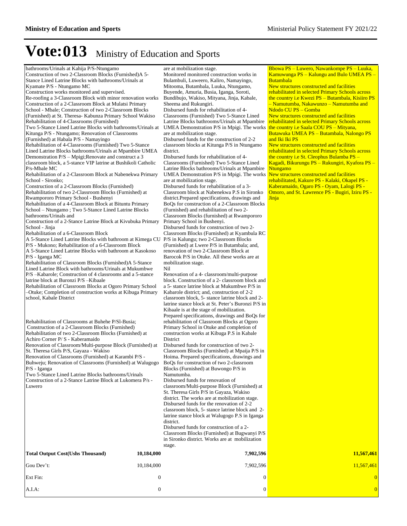bathrooms/Urinals at Kahija P/S-Ntungamo Construction of two 2-Classroom Blocks (Furnished)A 5- Stance Lined Latrine Blocks with bathrooms/Urinals at Kyamate P/S - Ntungamo MC Construction works monitored and supervised. Re-roofing a 3-Classroom Block with minor renovation works Construction of a 2-Classroom Block at Mulatsi Primary School - Mbale; Construction of two 2-Classroom Blocks (Furnished) at St. Theresa- Kabunza Primary School Wakiso Rehabilitation of 4-Classrooms (Furnished) Two 5-Stance Lined Latrine Blocks with bathrooms/Urinals at Kitunga P/S - Ntungamo; Renovation of Classrooms (Furnished) at Habala P/S - Namayingo Rehabilitation of 4-Classrooms (Furnished) Two 5-Stance Lined Latrine Blocks bathrooms/Urinals at Mpambire UMEA Demonstration P/S - Mpigi;Renovate and construct a 3 classroom block, a 5-stance VIP latrine at Bushikoli Catholic P/s-Mbale MC Rehabilitation of a 2-Classroom Block at Nabenekwa Primary School - Sironko; Construction of a 2-Classroom Blocks (Furnished) Rehabilitation of two 2-Classroom Blocks (Furnished) at Rwampororo Primary School - Bushenyi Rehabilitation of a 4-Classroom Block at Bituntu Primary School - Ntungamo ; Two 5-Stance Lined Latrine Blocks bathrooms/Urinals and Construction of a 2-Stance Latrine Block at Kivubuka Primary School - Jinja Rehabilitation of a 6-Classroom Block A 5-Stance Lined Latrine Blocks with bathroom at Kimega CU P/S - Mukono; Rehabilitation of a 6-Classroom Block A 5-Stance Lined Latrine Blocks with bathroom at Kasokoso P/S - Iganga MC Rehabilitation of Classroom Blocks (Furnished)A 5-Stance Lined Latrine Block with bathrooms/Urinals at Mukumbwe P/S -Kabarole; Construction of 4 classrooms and a 5-stance latrine block at Buronzi P/S-Kibaale Rehabilitation of Classroom Blocks at Ogoro Primary School ±Otuke; Completion of construction works at Kibuga Primary school, Kabale District Rehabilitation of Classrooms at Buhehe P/Sl-Busia; Construction of a 2-Classroom Blocks (Furnished) Rehabilitation of two 2-Classroom Blocks (Furnished) at Achiro Corner P/ S - Kaberamaido Renovation of Classroom/Multi-purpose Block (Furnished) at St. Theresa Girls P/S, Gayaza - Wakiso Renovation of Classrooms (Furnished) at Karambi P/S - Buhweju; Renovation of Classrooms (Furnished) at Walugogo P/S - Iganga Two 5-Stance Lined Latrine Blocks bathrooms/Urinals Construction of a 2-Stance Latrine Block at Lukomera P/s - Luwero are at mobilization stage. Monitored monitored construction works in Bulambuli, Luweero, Kaliro, Namayingo, Mitooma, Butambala, Luuka, Ntungamo, Buyende, Amuria, Busia, Iganga, Soroti, Bundibujo, Wakiso, Mityana, Jinja, Kabale, Sheema and Rukungiri. Disbursed funds for rehabilitation of 4- Classrooms (Furnished) Two 5-Stance Lined Latrine Blocks bathrooms/Urinals at Mpambire rehabilitated in selected Primary Schools across UMEA Demonstration P/S in Mpigi. The works are at mobilization stage. Disbursed funds for the construction of 2-2 classroom blocks at Kitunga P/S in Ntungamo district. Disbursed funds for rehabilitation of 4- Classrooms (Furnished) Two 5-Stance Lined Latrine Blocks bathrooms/Urinals at Mpambire UMEA Demonstration P/S in Mpigi. The works are at mobilization stage. Disbursed funds for rehabilitation of a 3- Classroom block at Nabenekwa P.S in Sironko district.Prepared specifications, drawings and BoQs for construction of a 2-Classroom Blocks (Furnished) and rehabilitation of two 2- Classroom Blocks (furnished) at Rwampororo Primary School in Bushenyi. Disbursed funds for construction of two 2- Classroom Blocks (Furnished) at Kyambula RC P/S in Kalungu; two 2-Classroom Blocks (Furnished) at Lwere P/S in Butambala; and, renovation of two 2-Classroom Block at Barocok P/S in Otuke. All these works are at mobilization stage. Nil Renovation of a 4- classroom/multi-purpose block. Construction of a 2- classroom block and a 5- stance latrine block at Mukumbwe P/S in Kabarole district; and, construction of 2-2 classroom block, 5- stance latrine block and 2 latrine stance block at St. Peter's Buronzi P/S in Kibaale is at the stage of mobilization. Prepared specifications, drawings and BoQs for rehabilitation of Classroom Blocks at Ogoro Primary School in Otuke and completion of construction works at Kibuga P.S in Kabale District Disbursed funds for construction of two 2- Classroom Blocks (Furnished) at Mpaija P/S in Hoima. Prepared specifications, drawings and BoQs for construction of two 2-classroom Blocks (Furnished) at Buwongo P/S in Namutumba. Disbursed funds for renovation of classroom/Multi-purpose Block (Furnished) at St. Theresa Girls P/S in Gayaza, Wakiso district. The works are at mobilization stage. Disbursed funds for the renovation of 2-2 classroom block, 5- stance latrine block and 2 latrine stance block at Walugogo P.S in Iganga district. Disbursed funds for construction of a 2- Classroom Blocks (Furnished) at Bugwanyi P/S in Sironko district. Works are at mobilization stage. Butambala Ntungamo **Jinja Total Output Cost(Ushs Thousand) 10,184,000 7,902,596 11,567,461** Gou Dev¶t: 10,184,000 7,902,596 11,567,461 Ext Fin:  $\begin{array}{ccccccc} 0 & 0 & 0 & 0 & 0 & 0 \end{array}$ 

A.I.A: 0 0 0

Bbowa PS - Luwero, Nawankompe PS - Luuka, Kamuwunga PS – Kalungu and Bulo UMEA PS

New structures constructed and facilities rehabilitated in selected Primary Schools across the country i.e Kwezi  $PS - But$ ambala, Kisiiro PS  $-$ Namutumba, Nakawunzo - Namutumba and Ndodo CU PS - Gomba

New structures constructed and facilities the country i.e Saala COU PS - Mityana, Butawuka UMEA PS - Butambala, Nalongo PS and Iki Iki PS

New structures constructed and facilities rehabilitated in selected Primary Schools across the country i.e St. Cleophus Bulamba PS -Kagadi, Bikurungu PS - Rukungiri, Kyafora PS -

New structures constructed and facilities rehabilitated, Kakure PS - Kalaki, Okapel PS - Kaberamaido, Ogaro PS - Oyam, Lalogi PS - Omoro, and St. Lawrence PS - Bugiri, Iziru PS -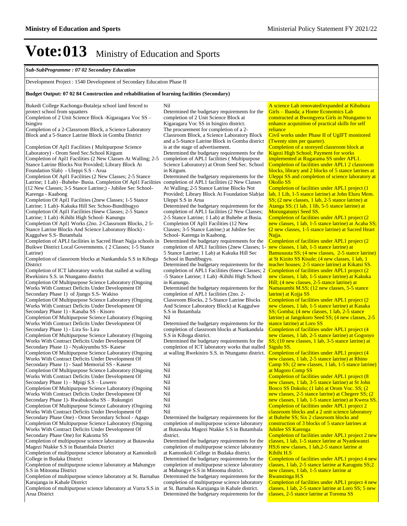#### *Sub-SubProgramme : 07 02 Secondary Education*

#### Development Project : 1540 Development of Secondary Education Phase II

#### **Budget Output: 07 02 84 Construction and rehabilitation of learning facilities (Secondary)**

Bukedi College Kachonga-Butaleja school land fenced to protect school from squatters Completion of 2 Unit Science Block -Kigaragara Voc SS -Isingiro Completion of a 2-Classroom Block, a Science Laboratory Block and a 5-Stance Latrine Block in Gomba District Completion Of Apl1 Facilities ( Multipurpose Science Laboratory) - Orom Seed Sec.School Kitgum Completion of Apl1 Facilities (2 New Classes At Walling; 2-5 Stance Latrine Blocks Not Provided; Library Block At Foundation Slab) - Uleppi S.S - Arua Completion Of Apl1 Facilities (2 New Classes; 2-5 Stance Latrine; 1 Lab) -Buhehe- Busia. Completion Of Apl1 Facilities (12 New Classes; 3-5 Stance Latrine;) - Jubilee Sec School-Karenga - Kaabong Completion Of Apl1 Facilities (2new Classes; 1-5 Stance Latrine; 1 Lab)- Kakuka Hill Sec Schoo-Bundibugyo Completion Of Apl1 Facilities (6new Classes; 2-5 Stance Latrine; 1 Lab) -Kihihi High School- Kanungu Completion Of Apl1 Works (2no. 2-Classroom Blocks, 2 5- Stance Latrine Blocks And Science Laboratory Block) - Kaggulwe S.S- Butambala Completion of APLI facilities in Sacred Heart Najja schools in Buikwe District Local Governments. ( 2 Classes; 1-5 Stance Latrine) Completion of classroom blocks at Nankandula S.S in Kiboga District Completion of ICT laboratory works that stalled at walling Rwekiniro S.S. in Ntungamo district Completion Of Multipurpose Science Laboratory (Ongoing Works With Contract Deficits Under Development Of Secondary Phase 1) of Jjungo S.S- Wakiso Completion Of Multipurpose Science Laboratory (Ongoing Works With Contract Deficits Under Development Of Secondary Phase 1) - Kanaba SS - Kisoro Completion Of Multipurpose Science Laboratory (Ongoing Works With Contract Deficits Under Development Of Secondary Phase 1) - Lira Ss- Lira Completion Of Multipurpose Science Laboratory (Ongoing Works With Contract Deficits Under Development Of Secondary Phase 1) - Nyakiyumbu SS- Kasese Completion Of Multipurpose Science Laboratory (Ongoing Works With Contract Deficits Under Development Of Secondary Phase 1) - Saad Memorial SS - Kasese Completion Of Multipurpose Science Laboratory (Ongoing Works With Contract Deficits Under Development Of Secondary Phase  $1$ ) – Mpigi S.S – Luwero Completion Of Multipurpose Science Laboratory (Ongoing Works With Contract Deficits Under Development Of Secondary Phase 1)- Rwabukooba SS - Rukungiri Completion Of Multipurpose Science Laboratory (Ongoing Works With Contract Deficits Under Development Of Secondary Phase One) - Omot Secondary School - Agago Completion Of Multipurpose Science Laboratory (Ongoing Works With Contract Deficits Under Development Of Secondary Phase One) for Kakoma SS Completion of multipurpose science laboratory at Butawuka Magezi Ntakke S.S in Butambala District Completion of multipurpose science laboratory at Kamonkoli College in Budaka District Completion of multipurpose science laboratory at Mahungye S.S in Mitooma District Completion of multipurpose science laboratory at St. Barnabas Nil in Kitgum. Uleppi S.S in Arua School in Bundibugyo. in Kanungu. S.S in Butambala Nil S.S in Kiboga district. Nil Nil Nil Nil Nil Nil Nil Nil Nil completion of multipurpose science laboratory at Butawuka Magezi Ntakke S.S in Butambala district. at Kamonkoli College in Budaka district.

Karujanga in Kabale District Completion of multipurpose science laboratory at Vurra S.S in Arua District

Determined the budgetary requirements for the completion of 2 Unit Science Block at Kigaragara Voc SS in Isingiro district. The procurement for completion of a 2- Classroom Block, a Science Laboratory Block and a 5-Stance Latrine Block in Gomba district is at the stage of advertisement. Determined the budgetary requirements for the completion of APL1 facilities ( Multipurpose Science Laboratory) at Orom Seed Sec. School Determined the budgetary requirements for the completion of APL1 facilities (2 New Classes At Walling; 2-5 Stance Latrine Blocks Not Provided; Library Block At Foundation Slab)at Determined the budgetary requirements for the completion of APL1 facilities (2 New Classes; 2-5 Stance Latrine; 1 Lab) at Buhehe at Busia. Completion Of Apl1 Facilities (12 New Classes; 3-5 Stance Latrine;) at Jubilee Sec School- Karenga in Kaabong. Determined the budgetary requirements for the completion of APL1 facilities (2new Classes; 1- 5 Stance Latrine; 1 Lab) at Kakuka Hill Sec Determined the budgetary requirements for the completion of APL1 Facilities (6new Classes; 2 -5 Stance Latrine; 1 Lab) -Kihihi High School Determined the budgetary requirements for the completion of APL1 facilities (2no. 2- Classroom Blocks, 2 5-Stance Latrine Blocks And Science Laboratory Block) at Kaggulwe Determined the budgetary requirements for the completion of classroom blocks at Nankandula Determined the budgetary requirements for the completion of ICT laboratory works that stalled at walling Rwekiniro S.S. in Ntungamo district. Completion of facilities under APL1 project (4 Determined the budgetary requirements for the

Determined the budgetary requirements for the completion of multipurpose science laboratory

Determined the budgetary requirements for the completion of multipurpose science laboratory at Mahungye S.S in Mitooma district.

Determined the budgetary requirements for the completion of multipurpose science laboratory at St. Barnabas Karujanga in Kabale district. Determined the budgetary requirements for the

A science Lab renovated/expanded at Kibubura Girls - Ibanda; a Home Economics Lab constructed at Bwongyera Girls in Ntungamo to enhance acquisition of practical skills for self reliance

Civil works under Phase II of UgIFT monitored (Twenty sites per quarter).

Completion of a storeyed classroom block at Kigezi High School; Payment for works implemented at Rugarama SS under APL1. Completion of facilities under APL1 2 classroom blocks, library and 2 blocks of 5 stance latrines at Uleppi SS and completion of science laboratory at Okollo SS

Completion of facilities under APL1 project (1 lab, 1 Lib, 1-5 stance latrine) at John Eluru Mem. SS; (2 new classes, 1 lab, 2-5 stance latrine) at Atanga SS; (1 lab, 1 lib, 5-5 stance latrine) at Morungatunyi Seed SS.

Completion of facilities under APL1 project (2 new classes, 1 lab, 1-5 stance latrine) at Acaba SS; (2 new classes, 1-5 stance latrine) at Sacred Heart Najja.

Completion of facilities under APL1 project (2 new classes, 1 lab, 1-5 stance latrine) at Bamusuuta SS; (4 new classes, 2-5 stance latrine) at St Kizito SS Kisule; (4 new classes, 1 lab, 1 teacher houses; 2-5 stance latrine) at Kikatsi SS. Completion of facilities under APL1 project (2 new classes, 1 lab, 1-5 stance latrine) at Kakuka Hill; (4 new classes, 2-5 stance latrine) at

Namasumbi M.SS; (12 new classes, 5-5 stance latrine) at Kojja SS

Completion of facilities under APL1 project (2 new classes, 1 lab, 1-5 stance latrine) at Kasaka SS; Gomba; (4 new classes, 1 lab, 2-5 stance latrine) at Jangokoro Seed SS; (4 new classes, 2-5 stance latrine) at Loro SS

Completion of facilities under APL1 project (4 new classes, 1 lab, 2-5 stance latrine) at Gogonyo SS; (10 new classes, 1 lab, 3-5 stance latrine) at Sigulu SS.

new classes, 1 lab, 2-5 stance latrine) at Rhino Camp SS; (2 new classes, 1 lab, 1-5 stance latrine) at Magoro Comp SS

Completion of facilities under APL1 project (8 new classes, 1 lab, 3-5 stance latrine) at St John Bosco SS Dokolo; (1 lab) at Orom Voc. SS; (2 new classes, 2-5 stance latrine) at Chegere SS; (2 new classes, 1 lab, 1-5 stance latrine) at Kwera SS. Completion of facilities under APL1 project 2 classroom blocks and a 2 unit science laboratory

at Buhehe SS; Six 2 classroom blocks and construction of 3 blocks of 5 stance latrines at Jubilee SS Karenga

Completion of facilities under APL1 project 2 new classes, 1 lab, 1-5 stance latrine at Nyankwanzi HS;6 new classes, 1 lab,2-5 stance latrine at Kihihi H.S

Completion of facilities under APL1 project 4 new classes, 1 lab, 2-5 stance latrine at Karugutu SS;2 new classes, 1 lab, 1-5 stance latrine at Rwanstinga H.S

Completion of facilities under APL1 project 4 new classes, 1 lab, 2-5 stance latrine at Loro SS; 5 new classes, 2-5 stance latrine at Toroma SS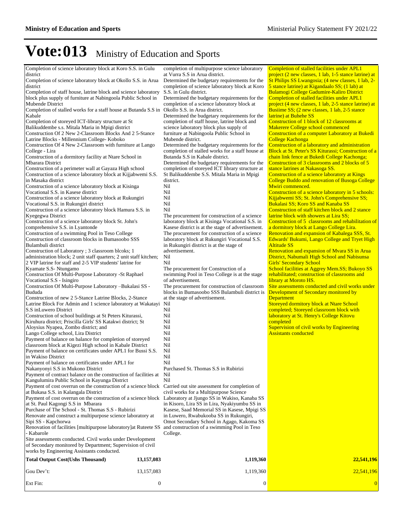| Completion of science laboratory block at Koro S.S. in Gulu<br>district<br>Completion of science laboratory block at Okollo S.S. in Arua<br>district<br>Completion of staff house, latrine block and science laboratory<br>block plus supply of furniture at Nabingoola Public School in<br>Mubende District<br>Completion of stalled works for a staff house at Butanda S.S in Okollo S.S. in Arua district.<br>Kabale<br>Completion of storeyed ICT-library structure at St<br>Balikuddembe s.s. Mitala Maria in Mpigi district<br>Construction Of 2 New 2-Classroom Blocks And 2 5-Stance<br>Latrine Blocks - Millennium College- Koboko<br>Construction Of 4 New 2-Classroom with furniture at Lango<br>College - Lira<br>Construction of a dormitory facility at Ntare School in<br>Mbarara District<br>Construction of a perimeter wall at Gayaza High school<br>Construction of a science laboratory block at Kijjabwemi S.S.<br>in Masaka district<br>Construction of a science laboratory block at Kisinga<br>Vocational S.S. in Kasese district<br>Construction of a science laboratory block at Rukungiri<br>Vocational S.S. in Rukungiri district<br>Construction of a science laboratory block Hamura S.S. in<br>Kyegegwa District<br>Construction of a science laboratory block St. John's<br>comprehensive S.S. in Lyantonde<br>Construction of a swimming Pool in Teso College<br>Construction of classroom blocks in Bumasoobo SSS<br>Bulambuli district<br>Construction of Laboratory; 3 classroom blcoks; 1<br>administration block; 2 unit staff quarters; 2 unit staff kitchen;<br>2 VIP latrine for staff and 2-5 VIP students' latrine for<br>Kyamate S.S- Ntungamo<br>Construction Of Multi-Purpose Laboratory -St Raphael<br>Vocational S.S - Isingiro<br>Construction Of Multi-Purpose Laboratory -Bukalasi SS -<br>Bududa<br>Construction of new 2.5-Stance Latrine Blocks, 2-Stance<br>Latrine Block For Admin and 1 science laboratory at Wakatayi<br>S.S inLuwero District<br>Construction of school buildings at St Peters Kiturassi,<br>Kiruhura district; Priscilla Girls' SS Katakwi district; St<br>Aloysius Nyapea, Zombo district; and<br>Lango College school, Lira District<br>Payment of balance on balance for completion of storeyed<br>classroom block at Kigezi High school in Kabale District<br>Payment of balance on certificates under APL1 for Bussi S.S.<br>in Wakiso District<br>Payment of balance on certificates under APL1 for<br>Nakanyonyi S.S in Mukono District<br>Payment of contract balance on the construction of facilities at<br>Kangulumira Public School in Kayunga District<br>Payment of cost overrun on the construction of a science block Carried out site assessment for completion of<br>at Bukasa S.S. in Kalangala District<br>Payment of cost overrun on the construction of a science block Laboratory at Jjungo SS in Wakiso, Kanaba SS<br>at St. Paul Kagongi S.S in Mbarara<br>Purchase of The School - St. Thomas S.S - Rubirizi<br>Renovate and construct a multipurpose science laboratory at<br>Sipi SS - Kapchorwa<br>Renovation of facilities [multipurpose laboratory] at Ruteete SS and construction of a swimming Pool in Teso<br>- Kabarole<br>Site assessments conducted. Civil works under Development<br>of Secondary monitored by Department; Supervision of civil<br>works by Engineering Assistants conducted. |                  | completion of multipurpose science laboratory<br>at Vurra S.S in Arua district.<br>Determined the budgetary requirements for the<br>completion of science laboratory block at Koro<br>S.S. in Gulu district.<br>Determined the budgetary requirements for the<br>completion of a science laboratory block at<br>Determined the budgetary requirements for the<br>completion of staff house, latrine block and<br>science laboratory block plus supply of<br>furniture at Nabingoola Public School in<br>Mubende district.<br>Determined the budgetary requirements for the<br>completion of stalled works for a staff house at<br>Butanda S.S in Kabale district.<br>Determined the budgetary requirements for the<br>completion of storeyed ICT library structure at<br>St Balikuddembe S.S. Mitala Maria in Mpigi<br>district.<br>Nil<br>Nil<br>Nil<br>Nil<br>Nil<br>The procurement for construction of a science<br>laboratory block at Kisinga Vocational S.S. in<br>Kasese district is at the stage of advertisement.<br>The procurement for construction of a science<br>laboratory block at Rukungiri Vocational S.S.<br>in Rukungiri district is at the stage of<br>advertisement.<br>Nil<br>Nil<br>The procurement for Construction of a<br>swimming Pool in Teso College is at the stage<br>of advertisement.<br>The procurement for construction of classroom<br>blocks in Bumasoobo SSS Bulambuli district is<br>at the stage of advertisement.<br>Nil<br>Nil<br>Nil<br>Nil<br>Nil<br>Nil<br>Nil<br>Nil<br>Nil<br>Nil<br>Nil<br>Purchased St. Thomas S.S in Rubirizi<br>Nil<br>Nil<br>civil works for a Multipurpose Science<br>in Kisoro, Lira SS in Lira, Nyakiyumbu SS in<br>Kasese, Saad Memorial SS in Kasese, Mpigi SS<br>in Luwero, Rwabukooba SS in Rukungiri,<br>Omot Secondary School in Agago, Kakoma SS<br>College. | Completion of stalled facilities under APL1<br>project (2 new classes, 1 lab, 1-5 stance latrine) at<br>St Philips SS Lwangosia; (4 new classes, 1 lab, 2-<br>5 stance latrine) at Kigandaalo SS; (1 lab) at<br>Bulamogi College Gadumire-Kaliro District<br>Completion of stalled facilities under APL1<br>project (4 new classes, 1 lab, 2-5 stance latrine) at<br>Busiime SS; (2 new classes, 1 lab, 2-5 stance<br>latrine) at Buhehe SS<br>Construction of 1 block of 12 classrooms at<br>Makerere College school commenced<br>Construction of a computer Laboratory at Bukedi<br><b>College Kachonga</b><br>Construction of a laboratory and administration<br>Block at St. Peter's SS Kiturassi; Construction of a<br>chain link fence at Bukedi College Kachonga;<br>Construction of 3 classrooms and 2 blocks of 5<br>stance latrines at Nakasoga SS.<br>Construction of a science laboratory at Kings<br>College Buddo and renovation of Busoga College<br>Mwiri commenced.<br>Construction of a science laboratory in 5 schools:<br>Kijjabwemi SS; St. John's Comprehensive SS;<br>Bukalasi SS; Koro SS and Kanaba SS<br>Construction of staff kitchen block and 2 stance<br>latrine block with showers at Lira SS;<br>Construction of 5 classrooms and rehabilitation of<br>a dormitory block at Lango College Lira.<br>Renovation and expansion of Kabalega SSS, St.<br>Edwards' Bukumi, Lango College and Tryet High<br><b>Altitude SS</b><br>Renovation and expansion of Mvara SS in Arua<br>District, Nabumali High School and Nabisunsa<br><b>Girls' Secondary School</b><br>School facilities at Aggrey Mem.SS; Bukoyo SS<br>rehabilitated; construction of classrooms and<br>library at Moroto HS.<br>Site assessments conducted and civil works under<br>Development of Secondary monitored by<br><b>Department</b><br><b>Storeyed dormitory block at Ntare School</b><br>completed; Storeyed classroom block with<br>laboratory at St. Henry's College Kitovu<br>completed<br>Supervision of civil works by Engineering<br><b>Assistants conducted</b> |
|-----------------------------------------------------------------------------------------------------------------------------------------------------------------------------------------------------------------------------------------------------------------------------------------------------------------------------------------------------------------------------------------------------------------------------------------------------------------------------------------------------------------------------------------------------------------------------------------------------------------------------------------------------------------------------------------------------------------------------------------------------------------------------------------------------------------------------------------------------------------------------------------------------------------------------------------------------------------------------------------------------------------------------------------------------------------------------------------------------------------------------------------------------------------------------------------------------------------------------------------------------------------------------------------------------------------------------------------------------------------------------------------------------------------------------------------------------------------------------------------------------------------------------------------------------------------------------------------------------------------------------------------------------------------------------------------------------------------------------------------------------------------------------------------------------------------------------------------------------------------------------------------------------------------------------------------------------------------------------------------------------------------------------------------------------------------------------------------------------------------------------------------------------------------------------------------------------------------------------------------------------------------------------------------------------------------------------------------------------------------------------------------------------------------------------------------------------------------------------------------------------------------------------------------------------------------------------------------------------------------------------------------------------------------------------------------------------------------------------------------------------------------------------------------------------------------------------------------------------------------------------------------------------------------------------------------------------------------------------------------------------------------------------------------------------------------------------------------------------------------------------------------------------------------------------------------------------------------------------------------------------------------------------------------------------------------------------------------------------------------------------------------------------------------|------------------|----------------------------------------------------------------------------------------------------------------------------------------------------------------------------------------------------------------------------------------------------------------------------------------------------------------------------------------------------------------------------------------------------------------------------------------------------------------------------------------------------------------------------------------------------------------------------------------------------------------------------------------------------------------------------------------------------------------------------------------------------------------------------------------------------------------------------------------------------------------------------------------------------------------------------------------------------------------------------------------------------------------------------------------------------------------------------------------------------------------------------------------------------------------------------------------------------------------------------------------------------------------------------------------------------------------------------------------------------------------------------------------------------------------------------------------------------------------------------------------------------------------------------------------------------------------------------------------------------------------------------------------------------------------------------------------------------------------------------------------------------------------------------------------------------------------------------------------------|----------------------------------------------------------------------------------------------------------------------------------------------------------------------------------------------------------------------------------------------------------------------------------------------------------------------------------------------------------------------------------------------------------------------------------------------------------------------------------------------------------------------------------------------------------------------------------------------------------------------------------------------------------------------------------------------------------------------------------------------------------------------------------------------------------------------------------------------------------------------------------------------------------------------------------------------------------------------------------------------------------------------------------------------------------------------------------------------------------------------------------------------------------------------------------------------------------------------------------------------------------------------------------------------------------------------------------------------------------------------------------------------------------------------------------------------------------------------------------------------------------------------------------------------------------------------------------------------------------------------------------------------------------------------------------------------------------------------------------------------------------------------------------------------------------------------------------------------------------------------------------------------------------------------------------------------------------------------------------------------------------------------------------------------------------------------------|
| <b>Total Output Cost(Ushs Thousand)</b>                                                                                                                                                                                                                                                                                                                                                                                                                                                                                                                                                                                                                                                                                                                                                                                                                                                                                                                                                                                                                                                                                                                                                                                                                                                                                                                                                                                                                                                                                                                                                                                                                                                                                                                                                                                                                                                                                                                                                                                                                                                                                                                                                                                                                                                                                                                                                                                                                                                                                                                                                                                                                                                                                                                                                                                                                                                                                                                                                                                                                                                                                                                                                                                                                                                                                                                                                                         | 13,157,083       | 1,119,360                                                                                                                                                                                                                                                                                                                                                                                                                                                                                                                                                                                                                                                                                                                                                                                                                                                                                                                                                                                                                                                                                                                                                                                                                                                                                                                                                                                                                                                                                                                                                                                                                                                                                                                                                                                                                                    | 22,541,196                                                                                                                                                                                                                                                                                                                                                                                                                                                                                                                                                                                                                                                                                                                                                                                                                                                                                                                                                                                                                                                                                                                                                                                                                                                                                                                                                                                                                                                                                                                                                                                                                                                                                                                                                                                                                                                                                                                                                                                                                                                                 |
| Gou Dev't:                                                                                                                                                                                                                                                                                                                                                                                                                                                                                                                                                                                                                                                                                                                                                                                                                                                                                                                                                                                                                                                                                                                                                                                                                                                                                                                                                                                                                                                                                                                                                                                                                                                                                                                                                                                                                                                                                                                                                                                                                                                                                                                                                                                                                                                                                                                                                                                                                                                                                                                                                                                                                                                                                                                                                                                                                                                                                                                                                                                                                                                                                                                                                                                                                                                                                                                                                                                                      | 13, 157, 083     | 1,119,360                                                                                                                                                                                                                                                                                                                                                                                                                                                                                                                                                                                                                                                                                                                                                                                                                                                                                                                                                                                                                                                                                                                                                                                                                                                                                                                                                                                                                                                                                                                                                                                                                                                                                                                                                                                                                                    | 22,541,196                                                                                                                                                                                                                                                                                                                                                                                                                                                                                                                                                                                                                                                                                                                                                                                                                                                                                                                                                                                                                                                                                                                                                                                                                                                                                                                                                                                                                                                                                                                                                                                                                                                                                                                                                                                                                                                                                                                                                                                                                                                                 |
| Ext Fin:                                                                                                                                                                                                                                                                                                                                                                                                                                                                                                                                                                                                                                                                                                                                                                                                                                                                                                                                                                                                                                                                                                                                                                                                                                                                                                                                                                                                                                                                                                                                                                                                                                                                                                                                                                                                                                                                                                                                                                                                                                                                                                                                                                                                                                                                                                                                                                                                                                                                                                                                                                                                                                                                                                                                                                                                                                                                                                                                                                                                                                                                                                                                                                                                                                                                                                                                                                                                        | $\boldsymbol{0}$ | $\boldsymbol{0}$                                                                                                                                                                                                                                                                                                                                                                                                                                                                                                                                                                                                                                                                                                                                                                                                                                                                                                                                                                                                                                                                                                                                                                                                                                                                                                                                                                                                                                                                                                                                                                                                                                                                                                                                                                                                                             | $\bf{0}$                                                                                                                                                                                                                                                                                                                                                                                                                                                                                                                                                                                                                                                                                                                                                                                                                                                                                                                                                                                                                                                                                                                                                                                                                                                                                                                                                                                                                                                                                                                                                                                                                                                                                                                                                                                                                                                                                                                                                                                                                                                                   |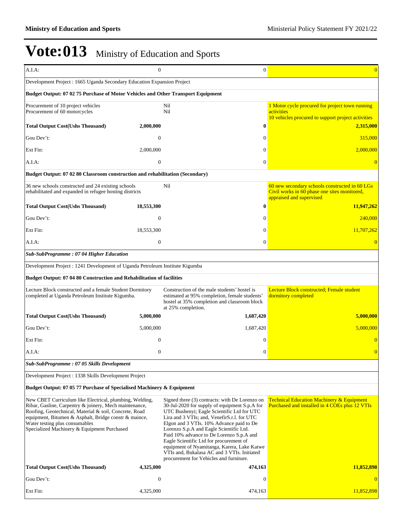| A.I.A:                                                                                                                                                                                                                                                                                                                | $\mathbf{0}$              | $\mathbf{0}$                                                                                                                                                                                                                                                                                                                                                                                                                                                                                                        | $\overline{0}$                                                                                                             |
|-----------------------------------------------------------------------------------------------------------------------------------------------------------------------------------------------------------------------------------------------------------------------------------------------------------------------|---------------------------|---------------------------------------------------------------------------------------------------------------------------------------------------------------------------------------------------------------------------------------------------------------------------------------------------------------------------------------------------------------------------------------------------------------------------------------------------------------------------------------------------------------------|----------------------------------------------------------------------------------------------------------------------------|
| Development Project : 1665 Uganda Secondary Education Expansion Project                                                                                                                                                                                                                                               |                           |                                                                                                                                                                                                                                                                                                                                                                                                                                                                                                                     |                                                                                                                            |
| Budget Output: 07 02 75 Purchase of Motor Vehicles and Other Transport Equipment                                                                                                                                                                                                                                      |                           |                                                                                                                                                                                                                                                                                                                                                                                                                                                                                                                     |                                                                                                                            |
| Procurement of 10 project vehicles<br>Procurement of 60 motorcycles                                                                                                                                                                                                                                                   |                           | Nil<br>Nil                                                                                                                                                                                                                                                                                                                                                                                                                                                                                                          | 1 Motor cycle procured for project town running<br>activities                                                              |
|                                                                                                                                                                                                                                                                                                                       |                           |                                                                                                                                                                                                                                                                                                                                                                                                                                                                                                                     | 10 vehicles procured to support project activities                                                                         |
| <b>Total Output Cost(Ushs Thousand)</b>                                                                                                                                                                                                                                                                               | 2,000,000                 | $\boldsymbol{0}$                                                                                                                                                                                                                                                                                                                                                                                                                                                                                                    | 2,315,000                                                                                                                  |
| Gou Dev't:                                                                                                                                                                                                                                                                                                            | $\overline{0}$            | $\mathbf{0}$                                                                                                                                                                                                                                                                                                                                                                                                                                                                                                        | 315,000                                                                                                                    |
| Ext Fin:                                                                                                                                                                                                                                                                                                              | 2,000,000                 | $\Omega$                                                                                                                                                                                                                                                                                                                                                                                                                                                                                                            | 2,000,000                                                                                                                  |
| A.I.A:                                                                                                                                                                                                                                                                                                                | $\mathbf{0}$              | $\mathbf{0}$                                                                                                                                                                                                                                                                                                                                                                                                                                                                                                        |                                                                                                                            |
| Budget Output: 07 02 80 Classroom construction and rehabilitation (Secondary)                                                                                                                                                                                                                                         |                           |                                                                                                                                                                                                                                                                                                                                                                                                                                                                                                                     |                                                                                                                            |
| 36 new schools constructed and 24 existing schools<br>rehabilitated and expanded in refugee hosting districts                                                                                                                                                                                                         |                           | Nil                                                                                                                                                                                                                                                                                                                                                                                                                                                                                                                 | 60 new secondary schools constructed in 60 LGs<br>Civil works in 60 phase one sites monitored,<br>appraised and supervised |
| <b>Total Output Cost(Ushs Thousand)</b>                                                                                                                                                                                                                                                                               | 18,553,300                | $\boldsymbol{0}$                                                                                                                                                                                                                                                                                                                                                                                                                                                                                                    | 11,947,262                                                                                                                 |
| Gou Dev't:                                                                                                                                                                                                                                                                                                            | $\overline{0}$            | $\mathbf{0}$                                                                                                                                                                                                                                                                                                                                                                                                                                                                                                        | 240,000                                                                                                                    |
| Ext Fin:                                                                                                                                                                                                                                                                                                              | 18,553,300                | $\Omega$                                                                                                                                                                                                                                                                                                                                                                                                                                                                                                            | 11,707,262                                                                                                                 |
| A.I.A:                                                                                                                                                                                                                                                                                                                | $\mathbf{0}$              | $\mathbf{0}$                                                                                                                                                                                                                                                                                                                                                                                                                                                                                                        |                                                                                                                            |
| Sub-SubProgramme: 07 04 Higher Education                                                                                                                                                                                                                                                                              |                           |                                                                                                                                                                                                                                                                                                                                                                                                                                                                                                                     |                                                                                                                            |
| Development Project : 1241 Development of Uganda Petroleum Institute Kigumba                                                                                                                                                                                                                                          |                           |                                                                                                                                                                                                                                                                                                                                                                                                                                                                                                                     |                                                                                                                            |
| Budget Output: 07 04 80 Construction and Rehabilitation of facilities                                                                                                                                                                                                                                                 |                           |                                                                                                                                                                                                                                                                                                                                                                                                                                                                                                                     |                                                                                                                            |
| Lecture Block constructed and a female Student Dormitory<br>completed at Uganda Petroleum Institute Kigumba.                                                                                                                                                                                                          |                           | Construction of the male students' hostel is<br>estimated at 95% completion, female students'<br>hostel at 35% completion and classroom block                                                                                                                                                                                                                                                                                                                                                                       | Lecture Block constructed; Female student<br>dormitory completed                                                           |
|                                                                                                                                                                                                                                                                                                                       |                           |                                                                                                                                                                                                                                                                                                                                                                                                                                                                                                                     |                                                                                                                            |
| <b>Total Output Cost(Ushs Thousand)</b>                                                                                                                                                                                                                                                                               | 5,000,000                 | at 25% completion.<br>1,687,420                                                                                                                                                                                                                                                                                                                                                                                                                                                                                     |                                                                                                                            |
| Gou Dev't:                                                                                                                                                                                                                                                                                                            | 5,000,000                 | 1,687,420                                                                                                                                                                                                                                                                                                                                                                                                                                                                                                           |                                                                                                                            |
| Ext Fin:                                                                                                                                                                                                                                                                                                              | $\boldsymbol{0}$          | $\theta$                                                                                                                                                                                                                                                                                                                                                                                                                                                                                                            |                                                                                                                            |
| A.I.A:                                                                                                                                                                                                                                                                                                                | $\overline{0}$            | $\theta$                                                                                                                                                                                                                                                                                                                                                                                                                                                                                                            | 5,000,000<br>5,000,000                                                                                                     |
| Sub-SubProgramme : 07 05 Skills Development                                                                                                                                                                                                                                                                           |                           |                                                                                                                                                                                                                                                                                                                                                                                                                                                                                                                     |                                                                                                                            |
| Development Project : 1338 Skills Development Project                                                                                                                                                                                                                                                                 |                           |                                                                                                                                                                                                                                                                                                                                                                                                                                                                                                                     |                                                                                                                            |
| Budget Output: 07 05 77 Purchase of Specialised Machinery & Equipment                                                                                                                                                                                                                                                 |                           |                                                                                                                                                                                                                                                                                                                                                                                                                                                                                                                     |                                                                                                                            |
| New CBET Curriculum like Electrical, plumbing, Welding,<br>Ribar, Gasline, Carpentry & joinery, Mech maintenance,<br>Roofing, Geotechnical, Material & soil, Concrete, Road<br>equipment, Bitumen & Asphalt, Bridge constr & maince,<br>Water testing plus consumables<br>Specialized Machinery & Equipment Purchased |                           | Signed three (3) contracts: with De Lorenzo on<br>30-Jul-2020 for supply of equipment S.p.A for<br>UTC Bushenyi; Eagle Scientific Ltd for UTC<br>Lira and 3 VTIs; and, VenefirS.r.l. for UTC<br>Elgon and 3 VTIs. 10% Advance paid to De<br>Lorenzo S.p.A and Eagle Scientific Ltd.<br>Paid 10% advance to De Lorenzo S.p.A and<br>Eagle Scientific Ltd for procurement of<br>equipment of Nyamitanga, Karera, Lake Katwe<br>VTIs and, Bukalasa AC and 3 VTIs. Initiated<br>procurement for Vehicles and furniture. | <b>Technical Education Machinery &amp; Equipment</b><br>Purchased and installed in 4 COEs plus 12 VTIs                     |
| <b>Total Output Cost(Ushs Thousand)</b>                                                                                                                                                                                                                                                                               | 4,325,000                 | 474,163                                                                                                                                                                                                                                                                                                                                                                                                                                                                                                             | 11,852,898                                                                                                                 |
| Gou Dev't:<br>Ext Fin:                                                                                                                                                                                                                                                                                                | $\mathbf{0}$<br>4,325,000 | $\mathbf{0}$                                                                                                                                                                                                                                                                                                                                                                                                                                                                                                        | 11,852,898                                                                                                                 |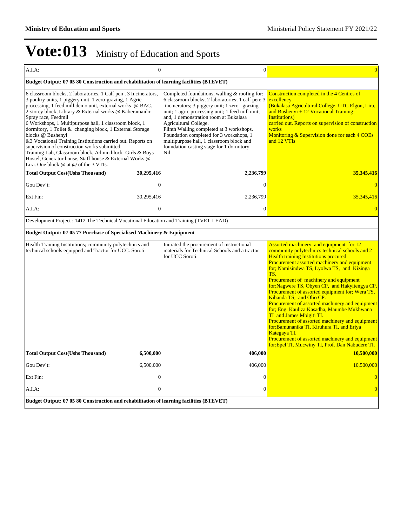| A.I.A:                                                                                                                                                                                                                                                                                                                                                                                                                                                                                                                                                                                                                                                                                                  | $\overline{0}$ | $\overline{0}$                                                                                                                                                                                                                                                                                                                                                                                                                                                   | $\overline{0}$                                                                                                                                                                                                                                                                                                                                                                                                                                                                                                                                                                                                                                                                                                                                                                |
|---------------------------------------------------------------------------------------------------------------------------------------------------------------------------------------------------------------------------------------------------------------------------------------------------------------------------------------------------------------------------------------------------------------------------------------------------------------------------------------------------------------------------------------------------------------------------------------------------------------------------------------------------------------------------------------------------------|----------------|------------------------------------------------------------------------------------------------------------------------------------------------------------------------------------------------------------------------------------------------------------------------------------------------------------------------------------------------------------------------------------------------------------------------------------------------------------------|-------------------------------------------------------------------------------------------------------------------------------------------------------------------------------------------------------------------------------------------------------------------------------------------------------------------------------------------------------------------------------------------------------------------------------------------------------------------------------------------------------------------------------------------------------------------------------------------------------------------------------------------------------------------------------------------------------------------------------------------------------------------------------|
| Budget Output: 07 05 80 Construction and rehabilitation of learning facilities (BTEVET)                                                                                                                                                                                                                                                                                                                                                                                                                                                                                                                                                                                                                 |                |                                                                                                                                                                                                                                                                                                                                                                                                                                                                  |                                                                                                                                                                                                                                                                                                                                                                                                                                                                                                                                                                                                                                                                                                                                                                               |
| 6 classroom blocks, 2 laboratories, 1 Calf pen, 3 Incinerators,<br>3 poultry units, 1 piggery unit, 1 zero-grazing, 1 Agric<br>processing, 1 feed mill, demo unit, external works @ BAC.<br>2-storey block, Library & External works @ Kaberamaido;<br>Spray race, Feedmil<br>6 Workshops, 1 Multipurpose hall, 1 classroom block, 1<br>dormitory, 1 Toilet & changing block, 1 External Storage<br>blocks @ Bushenyi<br>&3 Vocational Training Institutions carried out. Reports on<br>supervision of construction works submitted.<br>Training Lab, Classroom block, Admin block Girls & Boys<br>Hostel, Generator house, Staff house & External Works @<br>Lira. One block $@$ at $@$ of the 3 VTIs. |                | Completed foundations, walling & roofing for:<br>6 classroom blocks; 2 laboratories; 1 calf pen; 3<br>incinerators; 3 piggery unit; 1 zero -grazing<br>unit; 1 agric processing unit; 1 feed mill unit;<br>and, 1 demonstration room at Bukalasa<br>Agricultural College.<br>Plinth Walling completed at 3 workshops.<br>Foundation completed for 3 workshops, 1<br>multipurpose hall, 1 classroom block and<br>foundation casting stage for 1 dormitory.<br>Nil | Construction completed in the 4 Centres of<br>excellency<br>(Bukalasa Agricultural College, UTC Elgon, Lira,<br>and Bushenyi $+12$ Vocational Training<br><b>Institutions</b> )<br>carried out. Reports on supervision of construction<br>works<br>Monitoring & Supervision done for each 4 COEs<br>and 12 VTIs                                                                                                                                                                                                                                                                                                                                                                                                                                                               |
| <b>Total Output Cost(Ushs Thousand)</b>                                                                                                                                                                                                                                                                                                                                                                                                                                                                                                                                                                                                                                                                 | 30,295,416     | 2,236,799                                                                                                                                                                                                                                                                                                                                                                                                                                                        | 35,345,416                                                                                                                                                                                                                                                                                                                                                                                                                                                                                                                                                                                                                                                                                                                                                                    |
| Gou Dev't:                                                                                                                                                                                                                                                                                                                                                                                                                                                                                                                                                                                                                                                                                              | $\overline{0}$ | $\overline{0}$                                                                                                                                                                                                                                                                                                                                                                                                                                                   | $\overline{0}$                                                                                                                                                                                                                                                                                                                                                                                                                                                                                                                                                                                                                                                                                                                                                                |
| Ext Fin:                                                                                                                                                                                                                                                                                                                                                                                                                                                                                                                                                                                                                                                                                                | 30,295,416     | 2,236,799                                                                                                                                                                                                                                                                                                                                                                                                                                                        | 35,345,416                                                                                                                                                                                                                                                                                                                                                                                                                                                                                                                                                                                                                                                                                                                                                                    |
| A.I.A.                                                                                                                                                                                                                                                                                                                                                                                                                                                                                                                                                                                                                                                                                                  | $\theta$       | $\overline{0}$                                                                                                                                                                                                                                                                                                                                                                                                                                                   | $\overline{0}$                                                                                                                                                                                                                                                                                                                                                                                                                                                                                                                                                                                                                                                                                                                                                                |
| Development Project : 1412 The Technical Vocational Education and Training (TVET-LEAD)                                                                                                                                                                                                                                                                                                                                                                                                                                                                                                                                                                                                                  |                |                                                                                                                                                                                                                                                                                                                                                                                                                                                                  |                                                                                                                                                                                                                                                                                                                                                                                                                                                                                                                                                                                                                                                                                                                                                                               |
| Budget Output: 07 05 77 Purchase of Specialised Machinery & Equipment                                                                                                                                                                                                                                                                                                                                                                                                                                                                                                                                                                                                                                   |                |                                                                                                                                                                                                                                                                                                                                                                                                                                                                  |                                                                                                                                                                                                                                                                                                                                                                                                                                                                                                                                                                                                                                                                                                                                                                               |
| Health Training Institutions; community polytechnics and<br>technical schools equipped and Tractor for UCC. Soroti                                                                                                                                                                                                                                                                                                                                                                                                                                                                                                                                                                                      |                | Initiated the procurement of instructional<br>materials for Technical Schools and a tractor<br>for UCC Soroti.                                                                                                                                                                                                                                                                                                                                                   | Assorted machinery and equipment for 12<br>community polytechnics technical schools and 2<br><b>Health training Institutions procured</b><br>Procurement assorted machinery and equipment<br>for; Namisindwa TS, Lyolwa TS, and Kizinga<br>TS.<br>Procurement of machinery and equipment<br>for; Nagwere TS, Obyen CP, and Hakyitengya CP.<br>Procurement of assorted equipment for; Wera TS,<br>Kihanda TS, and Olio CP.<br>Procurement of assorted machinery and equipment<br>for; Eng. Kauliza Kasadha, Maumbe Mukhwana<br>TI and James Mbigiti TI.<br>Procurement of assorted machinery and equipment<br>for;Bamunanika TI, Kiruhura TI, and Eriya<br>Kategaya TI.<br>Procurement of assorted machinery and equipment<br>for; Epel TI, Mucwiny TI, Prof. Dan Nabudere TI. |
| <b>Total Output Cost(Ushs Thousand)</b>                                                                                                                                                                                                                                                                                                                                                                                                                                                                                                                                                                                                                                                                 | 6,500,000      | 406,000                                                                                                                                                                                                                                                                                                                                                                                                                                                          | 10,500,000                                                                                                                                                                                                                                                                                                                                                                                                                                                                                                                                                                                                                                                                                                                                                                    |
| Gou Dev't:                                                                                                                                                                                                                                                                                                                                                                                                                                                                                                                                                                                                                                                                                              | 6,500,000      | 406,000                                                                                                                                                                                                                                                                                                                                                                                                                                                          | 10,500,000                                                                                                                                                                                                                                                                                                                                                                                                                                                                                                                                                                                                                                                                                                                                                                    |
| Ext Fin:                                                                                                                                                                                                                                                                                                                                                                                                                                                                                                                                                                                                                                                                                                | $\overline{0}$ | $\mathbf{0}$                                                                                                                                                                                                                                                                                                                                                                                                                                                     | $\overline{0}$                                                                                                                                                                                                                                                                                                                                                                                                                                                                                                                                                                                                                                                                                                                                                                |
| A.I.A.                                                                                                                                                                                                                                                                                                                                                                                                                                                                                                                                                                                                                                                                                                  | $\overline{0}$ | $\overline{0}$                                                                                                                                                                                                                                                                                                                                                                                                                                                   | $\overline{0}$                                                                                                                                                                                                                                                                                                                                                                                                                                                                                                                                                                                                                                                                                                                                                                |
| Budget Output: 07 05 80 Construction and rehabilitation of learning facilities (BTEVET)                                                                                                                                                                                                                                                                                                                                                                                                                                                                                                                                                                                                                 |                |                                                                                                                                                                                                                                                                                                                                                                                                                                                                  |                                                                                                                                                                                                                                                                                                                                                                                                                                                                                                                                                                                                                                                                                                                                                                               |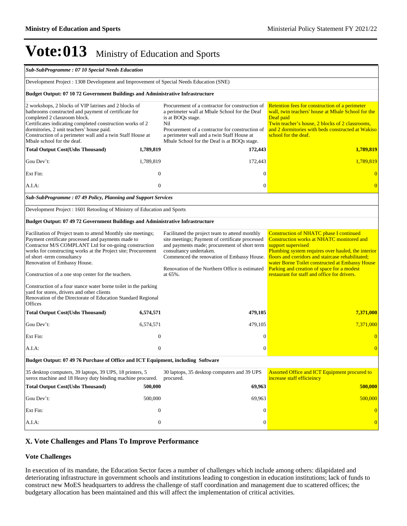| Sub-SubProgramme: 07 10 Special Needs Education                                                                                                                                                                                                                                                                                                                   |                  |                                                                                                                                                                                                                                                                                         |                                                                                                                                                                                                                                                                                                                                                                               |
|-------------------------------------------------------------------------------------------------------------------------------------------------------------------------------------------------------------------------------------------------------------------------------------------------------------------------------------------------------------------|------------------|-----------------------------------------------------------------------------------------------------------------------------------------------------------------------------------------------------------------------------------------------------------------------------------------|-------------------------------------------------------------------------------------------------------------------------------------------------------------------------------------------------------------------------------------------------------------------------------------------------------------------------------------------------------------------------------|
| Development Project: 1308 Development and Improvement of Special Needs Education (SNE)                                                                                                                                                                                                                                                                            |                  |                                                                                                                                                                                                                                                                                         |                                                                                                                                                                                                                                                                                                                                                                               |
| Budget Output: 07 10 72 Government Buildings and Administrative Infrastructure                                                                                                                                                                                                                                                                                    |                  |                                                                                                                                                                                                                                                                                         |                                                                                                                                                                                                                                                                                                                                                                               |
| 2 workshops, 2 blocks of VIP latrines and 2 blocks of<br>bathrooms constructed and payment of certificate for<br>completed 2 classroom block.<br>Certificates indicating completed construction works of 2<br>dormitories, 2 unit teachers' house paid.<br>Construction of a perimeter wall and a twin Staff House at<br>Mbale school for the deaf.               |                  | Procurement of a contractor for construction of<br>a perimeter wall at Mbale School for the Deaf<br>is at BOQs stage.<br>Nil<br>Procurement of a contractor for construction of<br>a perimeter wall and a twin Staff House at<br>Mbale School for the Deaf is at BOQs stage.            | Retention fees for construction of a perimeter<br>wall, twin teachers' house at Mbale School for the<br>Deaf paid<br>Twin teacher's house, 2 blocks of 2 classrooms,<br>and 2 dormitories with beds constructed at Wakiso<br>school for the deaf.                                                                                                                             |
| <b>Total Output Cost(Ushs Thousand)</b>                                                                                                                                                                                                                                                                                                                           | 1,789,819        | 172,443                                                                                                                                                                                                                                                                                 | 1,789,819                                                                                                                                                                                                                                                                                                                                                                     |
| Gou Dev't:                                                                                                                                                                                                                                                                                                                                                        | 1,789,819        | 172,443                                                                                                                                                                                                                                                                                 | 1,789,819                                                                                                                                                                                                                                                                                                                                                                     |
| Ext Fin:                                                                                                                                                                                                                                                                                                                                                          | $\theta$         | $\mathbf{0}$                                                                                                                                                                                                                                                                            | $\Omega$                                                                                                                                                                                                                                                                                                                                                                      |
| A.I.A:                                                                                                                                                                                                                                                                                                                                                            | $\theta$         | $\mathbf{0}$                                                                                                                                                                                                                                                                            | $\overline{0}$                                                                                                                                                                                                                                                                                                                                                                |
| Sub-SubProgramme: 07 49 Policy, Planning and Support Services                                                                                                                                                                                                                                                                                                     |                  |                                                                                                                                                                                                                                                                                         |                                                                                                                                                                                                                                                                                                                                                                               |
| Development Project: 1601 Retooling of Ministry of Education and Sports                                                                                                                                                                                                                                                                                           |                  |                                                                                                                                                                                                                                                                                         |                                                                                                                                                                                                                                                                                                                                                                               |
| Budget Output: 07 49 72 Government Buildings and Administrative Infrastructure                                                                                                                                                                                                                                                                                    |                  |                                                                                                                                                                                                                                                                                         |                                                                                                                                                                                                                                                                                                                                                                               |
| Facilitation of Project team to attend Monthly site meetings;<br>Payment certificate processed and payments made to<br>Contractor M/S COMPLANT Ltd for on-going construction<br>works for constructing works at the Project site; Procurement<br>of short-term consultancy<br>Renovation of Embassy House.<br>Construction of a one stop center for the teachers. |                  | Facilitated the project team to attend monthly<br>site meetings; Payment of certificate processed<br>and payments made; procurement of short term<br>consultancy undertaken.<br>Commenced the renovation of Embassy House.<br>Renovation of the Northern Office is estimated<br>at 65%. | <b>Construction of NHATC phase I continued</b><br>Construction works at NHATC monitored and<br>support supervised<br>Plumbing system requires over hauled, the interior<br>floors and corridors and staircase rehabilitated;<br>water Borne Toilet constructed at Embassy House<br>Parking and creation of space for a modest<br>restaurant for staff and office for drivers. |
| Construction of a four stance water borne toilet in the parking<br>yard for stores, drivers and other clients<br>Renovation of the Directorate of Education Standard Regional<br>Offices                                                                                                                                                                          |                  |                                                                                                                                                                                                                                                                                         |                                                                                                                                                                                                                                                                                                                                                                               |
| <b>Total Output Cost(Ushs Thousand)</b>                                                                                                                                                                                                                                                                                                                           | 6,574,571        | 479,105                                                                                                                                                                                                                                                                                 | 7,371,000                                                                                                                                                                                                                                                                                                                                                                     |
| Gou Dev't:                                                                                                                                                                                                                                                                                                                                                        | 6,574,571        | 479,105                                                                                                                                                                                                                                                                                 | 7.371,000                                                                                                                                                                                                                                                                                                                                                                     |
| Ext Fin:                                                                                                                                                                                                                                                                                                                                                          | $\mathbf{0}$     | $\mathbf{0}$                                                                                                                                                                                                                                                                            |                                                                                                                                                                                                                                                                                                                                                                               |
| A.I.A:                                                                                                                                                                                                                                                                                                                                                            | $\mathbf{0}$     | $\overline{0}$                                                                                                                                                                                                                                                                          | $\overline{0}$                                                                                                                                                                                                                                                                                                                                                                |
| Budget Output: 07 49 76 Purchase of Office and ICT Equipment, including Software                                                                                                                                                                                                                                                                                  |                  |                                                                                                                                                                                                                                                                                         |                                                                                                                                                                                                                                                                                                                                                                               |
| 35 desktop computers, 39 laptops, 39 UPS, 18 printers, 5<br>xerox machine and 18 Heavy duty binding machine procured.                                                                                                                                                                                                                                             |                  | 30 laptops, 35 desktop computers and 39 UPS<br>procured.                                                                                                                                                                                                                                | Assorted Office and ICT Equipment procured to<br>increase staff efficieincy                                                                                                                                                                                                                                                                                                   |
| <b>Total Output Cost(Ushs Thousand)</b>                                                                                                                                                                                                                                                                                                                           | 500,000          | 69,963                                                                                                                                                                                                                                                                                  | 500,000                                                                                                                                                                                                                                                                                                                                                                       |
| Gou Dev't:                                                                                                                                                                                                                                                                                                                                                        | 500,000          | 69,963                                                                                                                                                                                                                                                                                  | 500,000                                                                                                                                                                                                                                                                                                                                                                       |
| Ext Fin:                                                                                                                                                                                                                                                                                                                                                          | $\mathbf{0}$     | $\overline{0}$                                                                                                                                                                                                                                                                          | $\overline{0}$                                                                                                                                                                                                                                                                                                                                                                |
| A.I.A:                                                                                                                                                                                                                                                                                                                                                            | $\boldsymbol{0}$ | $\boldsymbol{0}$                                                                                                                                                                                                                                                                        | $\overline{0}$                                                                                                                                                                                                                                                                                                                                                                |

### **X. Vote Challenges and Plans To Improve Performance**

#### **Vote Challenges**

In execution of its mandate, the Education Sector faces a number of challenges which include among others: dilapidated and deteriorating infrastructure in government schools and institutions leading to congestion in education institutions; lack of funds to construct new MoES headquarters to address the challenge of staff coordination and management due to scattered offices; the budgetary allocation has been maintained and this will affect the implementation of critical activities.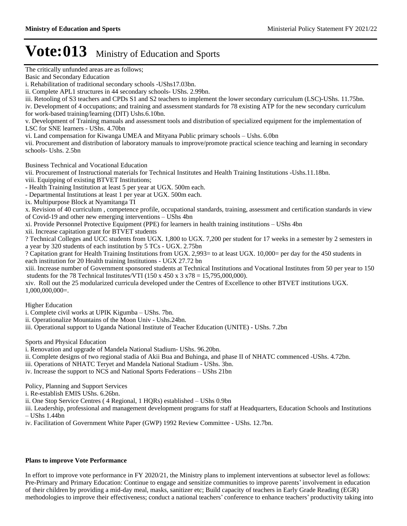The critically unfunded areas are as follows;

Basic and Secondary Education

i. Rehabilitation of traditional secondary schools -UShs17.03bn.

iii. Retooling of S3 teachers and CPDs S1 and S2 teachers to implement the lower secondary curriculum (LSC)-UShs. 11.75bn. iv. Development of 4 occupations; and training and assessment standards for 78 existing ATP for the new secondary curriculum

for work-based training/learning (DIT) Ushs.6.10bn.

v. Development of Training manuals and assessment tools and distribution of specialized equipment for the implementation of LSC for SNE learners - UShs. 4.70bn

vi. Land compensation for Kiwanga UMEA and Mityana Public primary schools – Ushs. 6.0bn

vii. Procurement and distribution of laboratory manuals to improve/promote practical science teaching and learning in secondary schools- Ushs. 2.5bn

Business Technical and Vocational Education

vii. Procurement of Instructional materials for Technical Institutes and Health Training Institutions -Ushs.11.18bn. viii. Equipping of existing BTVET Institutions;

- Health Training Institution at least 5 per year at UGX. 500m each.

- Departmental Institutions at least 1 per year at UGX. 500m each.

ix. Multipurpose Block at Nyamitanga TI

x. Revision of 40 curriculum , competence profile, occupational standards, training, assessment and certification standards in view of Covid-19 and other new emerging interventions – UShs 4bn

xi. Provide Personnel Protective Equipment (PPE) for learners in health training institutions – UShs 4bn

xii. Increase capitation grant for BTVET students

? Technical Colleges and UCC students from UGX. 1,800 to UGX. 7,200 per student for 17 weeks in a semester by 2 semesters in a year by 320 students of each institution by 5 TCs - UGX. 2.75bn

? Capitation grant for Health Training Institutions from UGX. 2,993= to at least UGX. 10,000= per day for the 450 students in each institution for 20 Health training Institutions - UGX 27.72 bn

xiii. Increase number of Government sponsored students at Technical Institutions and Vocational Institutes from 50 per year to 150 students for the 78 Technical Institutes/VTI (150 x 450 x 3 x78 = 15,795,000,000).

xiv. Roll out the 25 modularized curricula developed under the Centres of Excellence to other BTVET institutions UGX. 1,000,000,000=.

Higher Education

i. Complete civil works at UPIK Kigumba – UShs. 7bn.

ii. Operationalize Mountains of the Moon Univ - Ushs.24bn.

iii. Operational support to Uganda National Institute of Teacher Education (UNITE) - UShs. 7.2bn

Sports and Physical Education

- i. Renovation and upgrade of Mandela National Stadium- UShs. 96.20bn.
- ii. Complete designs of two regional stadia of Akii Bua and Buhinga, and phase II of NHATC commenced -UShs. 4.72bn.

iii. Operations of NHATC Teryet and Mandela National Stadium - UShs. 3bn.

iv. Increase the support to NCS and National Sports Federations – UShs 21bn

Policy, Planning and Support Services

i. Re-establish EMIS UShs. 6.26bn.

ii. One Stop Service Centres ( 4 Regional, 1 HQRs) established - UShs 0.9bn

iii. Leadership, professional and management development programs for staff at Headquarters, Education Schools and Institutions  $-$  UShs 1.44bn

iv. Facilitation of Government White Paper (GWP) 1992 Review Committee - UShs. 12.7bn.

#### **Plans to improve Vote Performance**

In effort to improve vote performance in FY 2020/21, the Ministry plans to implement interventions at subsector level as follows: Pre-Primary and Primary Education: Continue to engage and sensitize communities to improve parents' involvement in education of their children by providing a mid-day meal, masks, sanitizer etc; Build capacity of teachers in Early Grade Reading (EGR) methodologies to improve their effectiveness; conduct a national teachers' conference to enhance teachers' productivity taking into

ii. Complete APL1 structures in 44 secondary schools- UShs. 2.99bn.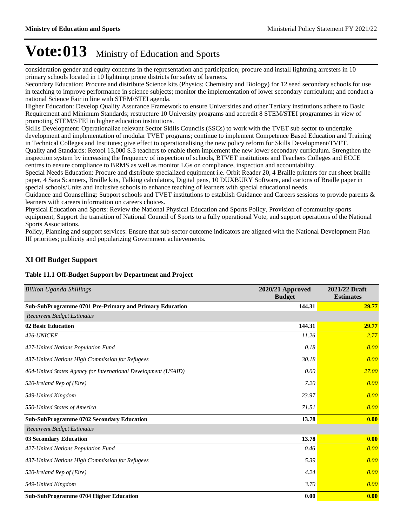consideration gender and equity concerns in the representation and participation; procure and install lightning arresters in 10 primary schools located in 10 lightning prone districts for safety of learners.

Secondary Education: Procure and distribute Science kits (Physics; Chemistry and Biology) for 12 seed secondary schools for use in teaching to improve performance in science subjects; monitor the implementation of lower secondary curriculum; and conduct a national Science Fair in line with STEM/STEI agenda.

Higher Education: Develop Quality Assurance Framework to ensure Universities and other Tertiary institutions adhere to Basic Requirement and Minimum Standards; restructure 10 University programs and accredit 8 STEM/STEI programmes in view of promoting STEM/STEI in higher education institutions.

Skills Development: Operationalize relevant Sector Skills Councils (SSCs) to work with the TVET sub sector to undertake development and implementation of modular TVET programs; continue to implement Competence Based Education and Training in Technical Colleges and Institutes; give effect to operationalising the new policy reform for Skills Development/TVET. Quality and Standards: Retool 13,000 S.3 teachers to enable them implement the new lower secondary curriculum. Strengthen the inspection system by increasing the frequency of inspection of schools, BTVET institutions and Teachers Colleges and ECCE centres to ensure compliance to BRMS as well as monitor LGs on compliance, inspection and accountability.

Special Needs Education: Procure and distribute specialized equipment i.e. Orbit Reader 20, 4 Braille printers for cut sheet braille paper, 4 Sara Scanners, Braille kits, Talking calculators, Digital pens, 10 DUXBURY Software, and cartons of Braille paper in special schools/Units and inclusive schools to enhance teaching of learners with special educational needs.

Guidance and Counselling: Support schools and TVET institutions to establish Guidance and Careers sessions to provide parents & learners with careers information on careers choices.

Physical Education and Sports: Review the National Physical Education and Sports Policy, Provision of community sports equipment, Support the transition of National Council of Sports to a fully operational Vote, and support operations of the National Sports Associations.

Policy, Planning and support services: Ensure that sub-sector outcome indicators are aligned with the National Development Plan III priorities; publicity and popularizing Government achievements.

### **XI Off Budget Support**

#### **Table 11.1 Off-Budget Support by Department and Project**

| <b>Billion Uganda Shillings</b>                                | 2020/21 Approved<br><b>Budget</b> | 2021/22 Draft<br><b>Estimates</b> |
|----------------------------------------------------------------|-----------------------------------|-----------------------------------|
| Sub-SubProgramme 0701 Pre-Primary and Primary Education        | 144.31                            | 29.77                             |
| <b>Recurrent Budget Estimates</b>                              |                                   |                                   |
| 02 Basic Education                                             | 144.31                            | 29.77                             |
| 426-UNICEF                                                     | 11.26                             | 2.77                              |
| 427-United Nations Population Fund                             | 0.18                              | 0.00                              |
| 437-United Nations High Commission for Refugees                | 30.18                             | 0.00                              |
| 464-United States Agency for International Development (USAID) | 0.00                              | 27.00                             |
| 520-Ireland Rep of (Eire)                                      | 7.20                              | 0.00                              |
| 549-United Kingdom                                             | 23.97                             | 0.00                              |
| 550-United States of America                                   | 71.51                             | 0.00                              |
| <b>Sub-SubProgramme 0702 Secondary Education</b>               | 13.78                             | 0.00                              |
| <b>Recurrent Budget Estimates</b>                              |                                   |                                   |
| <b>03 Secondary Education</b>                                  | 13.78                             | 0.00                              |
| 427-United Nations Population Fund                             | 0.46                              | 0.00                              |
| 437-United Nations High Commission for Refugees                | 5.39                              | 0.00                              |
| 520-Ireland Rep of (Eire)                                      | 4.24                              | 0.00                              |
| 549-United Kingdom                                             | 3.70                              | 0.00                              |
| <b>Sub-SubProgramme 0704 Higher Education</b>                  | 0.00                              | 0.00                              |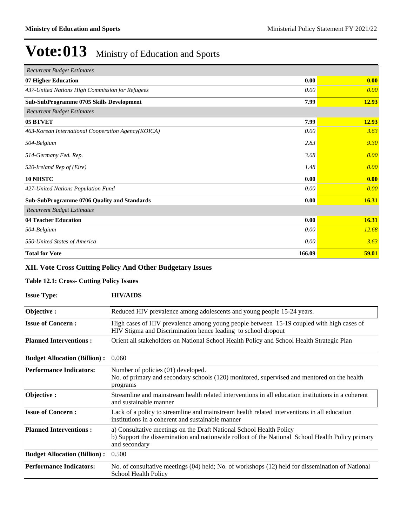| <b>Recurrent Budget Estimates</b>                  |        |       |
|----------------------------------------------------|--------|-------|
| 07 Higher Education                                | 0.00   | 0.00  |
| 437-United Nations High Commission for Refugees    | 0.00   | 0.00  |
| Sub-SubProgramme 0705 Skills Development           | 7.99   | 12.93 |
| <b>Recurrent Budget Estimates</b>                  |        |       |
| 05 BTVET                                           | 7.99   | 12.93 |
| 463-Korean International Cooperation Agency(KOICA) | 0.00   | 3.63  |
| 504-Belgium                                        | 2.83   | 9.30  |
| 514-Germany Fed. Rep.                              | 3.68   | 0.00  |
| 520-Ireland Rep of (Eire)                          | 1.48   | 0.00  |
| 10 NHSTC                                           | 0.00   | 0.00  |
| 427-United Nations Population Fund                 | 0.00   | 0.00  |
| Sub-SubProgramme 0706 Quality and Standards        | 0.00   | 16.31 |
| <b>Recurrent Budget Estimates</b>                  |        |       |
| 04 Teacher Education                               | 0.00   | 16.31 |
| 504-Belgium                                        | 0.00   | 12.68 |
| 550-United States of America                       | 0.00   | 3.63  |
| <b>Total for Vote</b>                              | 166.09 | 59.01 |

## **XII. Vote Cross Cutting Policy And Other Budgetary Issues**

### **Table 12.1: Cross- Cutting Policy Issues**

| <b>Issue Type:</b>                  | <b>HIV/AIDS</b>                                                                                                                                                                          |
|-------------------------------------|------------------------------------------------------------------------------------------------------------------------------------------------------------------------------------------|
| Objective:                          | Reduced HIV prevalence among adolescents and young people 15-24 years.                                                                                                                   |
| <b>Issue of Concern:</b>            | High cases of HIV prevalence among young people between 15-19 coupled with high cases of<br>HIV Stigma and Discrimination hence leading to school dropout                                |
| <b>Planned Interventions:</b>       | Orient all stakeholders on National School Health Policy and School Health Strategic Plan                                                                                                |
| <b>Budget Allocation (Billion):</b> | 0.060                                                                                                                                                                                    |
| <b>Performance Indicators:</b>      | Number of policies (01) developed.<br>No. of primary and secondary schools (120) monitored, supervised and mentored on the health<br>programs                                            |
| Objective :                         | Streamline and mainstream health related interventions in all education institutions in a coherent<br>and sustainable manner                                                             |
| <b>Issue of Concern:</b>            | Lack of a policy to streamline and mainstream health related interventions in all education<br>institutions in a coherent and sustainable manner                                         |
| <b>Planned Interventions:</b>       | a) Consultative meetings on the Draft National School Health Policy<br>b) Support the dissemination and nationwide rollout of the National School Health Policy primary<br>and secondary |
| <b>Budget Allocation (Billion):</b> | 0.500                                                                                                                                                                                    |
| <b>Performance Indicators:</b>      | No. of consultative meetings (04) held; No. of workshops (12) held for dissemination of National<br>School Health Policy                                                                 |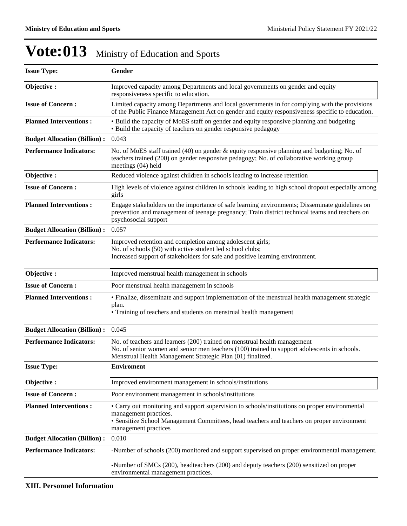| <b>Issue Type:</b>                  | Gender                                                                                                                                                                                                                                        |  |  |  |  |
|-------------------------------------|-----------------------------------------------------------------------------------------------------------------------------------------------------------------------------------------------------------------------------------------------|--|--|--|--|
| Objective:                          | Improved capacity among Departments and local governments on gender and equity<br>responsiveness specific to education.                                                                                                                       |  |  |  |  |
| <b>Issue of Concern:</b>            | Limited capacity among Departments and local governments in for complying with the provisions<br>of the Public Finance Management Act on gender and equity responsiveness specific to education.                                              |  |  |  |  |
| <b>Planned Interventions:</b>       | • Build the capacity of MoES staff on gender and equity responsive planning and budgeting<br>• Build the capacity of teachers on gender responsive pedagogy                                                                                   |  |  |  |  |
| <b>Budget Allocation (Billion):</b> | 0.043                                                                                                                                                                                                                                         |  |  |  |  |
| <b>Performance Indicators:</b>      | No. of MoES staff trained (40) on gender & equity responsive planning and budgeting; No. of<br>teachers trained (200) on gender responsive pedagogy; No. of collaborative working group<br>meetings (04) held                                 |  |  |  |  |
| Objective:                          | Reduced violence against children in schools leading to increase retention                                                                                                                                                                    |  |  |  |  |
| <b>Issue of Concern:</b>            | High levels of violence against children in schools leading to high school dropout especially among<br>girls                                                                                                                                  |  |  |  |  |
| <b>Planned Interventions:</b>       | Engage stakeholders on the importance of safe learning environments; Disseminate guidelines on<br>prevention and management of teenage pregnancy; Train district technical teams and teachers on<br>psychosocial support                      |  |  |  |  |
| <b>Budget Allocation (Billion):</b> | 0.057                                                                                                                                                                                                                                         |  |  |  |  |
| <b>Performance Indicators:</b>      | Improved retention and completion among adolescent girls;<br>No. of schools (50) with active student led school clubs;<br>Increased support of stakeholders for safe and positive learning environment.                                       |  |  |  |  |
| Objective:                          | Improved menstrual health management in schools                                                                                                                                                                                               |  |  |  |  |
| <b>Issue of Concern:</b>            | Poor menstrual health management in schools                                                                                                                                                                                                   |  |  |  |  |
| <b>Planned Interventions:</b>       | · Finalize, disseminate and support implementation of the menstrual health management strategic<br>plan.<br>• Training of teachers and students on menstrual health management                                                                |  |  |  |  |
| <b>Budget Allocation (Billion):</b> | 0.045                                                                                                                                                                                                                                         |  |  |  |  |
| <b>Performance Indicators:</b>      | No. of teachers and learners (200) trained on menstrual health management<br>No. of senior women and senior men teachers (100) trained to support adolescents in schools.<br>Menstrual Health Management Strategic Plan (01) finalized.       |  |  |  |  |
| <b>Issue Type:</b>                  | <b>Enviroment</b>                                                                                                                                                                                                                             |  |  |  |  |
| Objective:                          | Improved environment management in schools/institutions                                                                                                                                                                                       |  |  |  |  |
| <b>Issue of Concern:</b>            | Poor environment management in schools/institutions                                                                                                                                                                                           |  |  |  |  |
| <b>Planned Interventions:</b>       | • Carry out monitoring and support supervision to schools/institutions on proper environmental<br>management practices.<br>• Sensitize School Management Committees, head teachers and teachers on proper environment<br>management practices |  |  |  |  |
| <b>Budget Allocation (Billion):</b> | 0.010                                                                                                                                                                                                                                         |  |  |  |  |
| <b>Performance Indicators:</b>      | -Number of schools (200) monitored and support supervised on proper environmental management.                                                                                                                                                 |  |  |  |  |
|                                     | -Number of SMCs (200), headteachers (200) and deputy teachers (200) sensitized on proper<br>environmental management practices.                                                                                                               |  |  |  |  |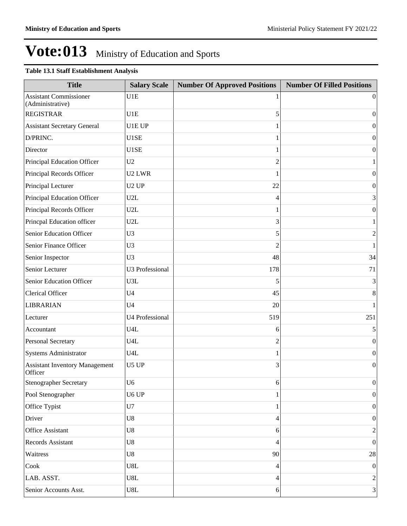## **Table 13.1 Staff Establishment Analysis**

| <b>Title</b>                                      | <b>Salary Scale</b>    | <b>Number Of Approved Positions</b> | <b>Number Of Filled Positions</b> |
|---------------------------------------------------|------------------------|-------------------------------------|-----------------------------------|
| <b>Assistant Commissioner</b><br>(Administrative) | U1E                    |                                     | $\theta$                          |
| <b>REGISTRAR</b>                                  | U1E                    | 5                                   | $\mathbf{0}$                      |
| <b>Assistant Secretary General</b>                | U1E UP                 |                                     | $\boldsymbol{0}$                  |
| D/PRINC.                                          | U1SE                   | 1                                   | $\mathbf{0}$                      |
| Director                                          | U1SE                   | 1                                   | $\boldsymbol{0}$                  |
| Principal Education Officer                       | U2                     | $\overline{2}$                      | 1                                 |
| Principal Records Officer                         | U <sub>2</sub> LWR     | 1                                   | $\boldsymbol{0}$                  |
| Principal Lecturer                                | U <sub>2</sub> UP      | 22                                  | $\mathbf{0}$                      |
| Principal Education Officer                       | U2L                    | 4                                   | 3                                 |
| Principal Records Officer                         | U2L                    | 1                                   | $\boldsymbol{0}$                  |
| Princpal Education officer                        | U2L                    | 3                                   | $\mathbf{1}$                      |
| Senior Education Officer                          | U <sub>3</sub>         | 5                                   | $\overline{c}$                    |
| Senior Finance Officer                            | U <sub>3</sub>         | $\overline{2}$                      | $\mathbf{1}$                      |
| Senior Inspector                                  | U <sub>3</sub>         | 48                                  | 34                                |
| Senior Lecturer                                   | <b>U3 Professional</b> | 178                                 | 71                                |
| Senior Education Officer                          | U3L                    | 5                                   | 3                                 |
| Clerical Officer                                  | U <sub>4</sub>         | 45                                  | 8                                 |
| <b>LIBRARIAN</b>                                  | U <sub>4</sub>         | 20                                  | 1                                 |
| Lecturer                                          | U4 Professional        | 519                                 | 251                               |
| Accountant                                        | U4L                    | 6                                   | 5                                 |
| Personal Secretary                                | U4L                    | $\overline{2}$                      | $\boldsymbol{0}$                  |
| <b>Systems Administrator</b>                      | U4L                    |                                     | $\mathbf{0}$                      |
| <b>Assistant Inventory Management</b><br>Officer  | U5 UP                  | 3                                   | $\overline{0}$                    |
| <b>Stenographer Secretary</b>                     | U <sub>6</sub>         | 6                                   | $\boldsymbol{0}$                  |
| Pool Stenographer                                 | U6 UP                  |                                     | $\boldsymbol{0}$                  |
| Office Typist                                     | U7                     | 1                                   | $\boldsymbol{0}$                  |
| Driver                                            | U8                     | 4                                   | $\boldsymbol{0}$                  |
| Office Assistant                                  | U8                     | 6                                   | $\overline{c}$                    |
| Records Assistant                                 | U8                     | 4                                   | $\boldsymbol{0}$                  |
| Waitress                                          | ${\bf U}8$             | 90                                  | $28\,$                            |
| Cook                                              | U8L                    | 4                                   | $\boldsymbol{0}$                  |
| LAB. ASST.                                        | $_{\rm U8L}$           | 4                                   | $\overline{c}$                    |
| Senior Accounts Asst.                             | $_{\rm U8L}$           | 6                                   | $\vert 3 \vert$                   |